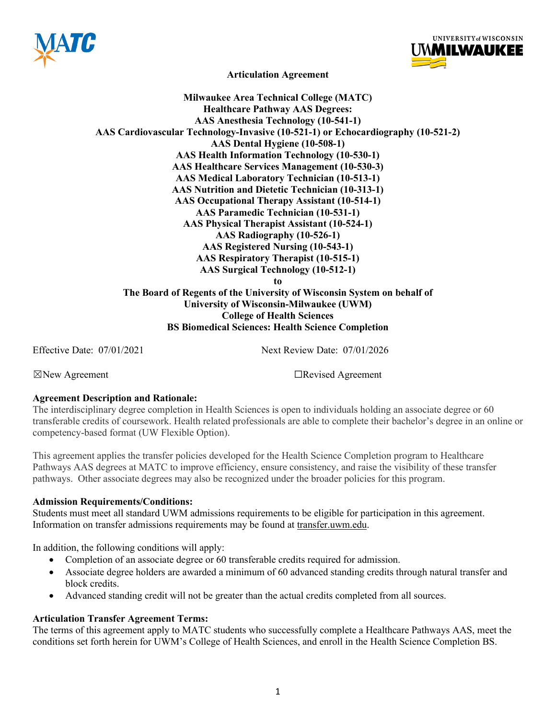



**Articulation Agreement**

**Milwaukee Area Technical College (MATC) Healthcare Pathway AAS Degrees: AAS Anesthesia Technology (10-541-1) AAS Cardiovascular Technology-Invasive (10-521-1) or Echocardiography (10-521-2) AAS Dental Hygiene (10-508-1) AAS Health Information Technology (10-530-1) AAS Healthcare Services Management (10-530-3) AAS Medical Laboratory Technician (10-513-1) AAS Nutrition and Dietetic Technician (10-313-1) AAS Occupational Therapy Assistant (10-514-1) AAS Paramedic Technician (10-531-1) AAS Physical Therapist Assistant (10-524-1) AAS Radiography (10-526-1) AAS Registered Nursing (10-543-1) AAS Respiratory Therapist (10-515-1) AAS Surgical Technology (10-512-1) to The Board of Regents of the University of Wisconsin System on behalf of University of Wisconsin-Milwaukee (UWM) College of Health Sciences**

**BS Biomedical Sciences: Health Science Completion**

Effective Date: 07/01/2021 Next Review Date: 07/01/2026

☒New Agreement ☐Revised Agreement

## **Agreement Description and Rationale:**

The interdisciplinary degree completion in Health Sciences is open to individuals holding an associate degree or 60 transferable credits of coursework. Health related professionals are able to complete their bachelor's degree in an online or competency-based format (UW Flexible Option).

This agreement applies the transfer policies developed for the Health Science Completion program to Healthcare Pathways AAS degrees at MATC to improve efficiency, ensure consistency, and raise the visibility of these transfer pathways. Other associate degrees may also be recognized under the broader policies for this program.

## **Admission Requirements/Conditions:**

Students must meet all standard UWM admissions requirements to be eligible for participation in this agreement. Information on transfer admissions requirements may be found at transfer.uwm.edu.

In addition, the following conditions will apply:

- Completion of an associate degree or 60 transferable credits required for admission.
- Associate degree holders are awarded a minimum of 60 advanced standing credits through natural transfer and block credits.
- Advanced standing credit will not be greater than the actual credits completed from all sources.

## **Articulation Transfer Agreement Terms:**

The terms of this agreement apply to MATC students who successfully complete a Healthcare Pathways AAS, meet the conditions set forth herein for UWM's College of Health Sciences, and enroll in the Health Science Completion BS.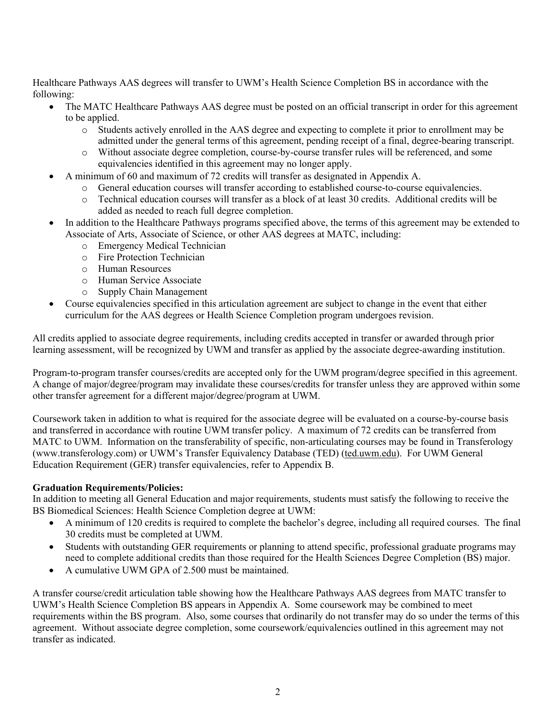Healthcare Pathways AAS degrees will transfer to UWM's Health Science Completion BS in accordance with the following:

- The MATC Healthcare Pathways AAS degree must be posted on an official transcript in order for this agreement to be applied.
	- o Students actively enrolled in the AAS degree and expecting to complete it prior to enrollment may be admitted under the general terms of this agreement, pending receipt of a final, degree-bearing transcript.
	- o Without associate degree completion, course-by-course transfer rules will be referenced, and some equivalencies identified in this agreement may no longer apply.
	- A minimum of 60 and maximum of 72 credits will transfer as designated in Appendix A.
		- o General education courses will transfer according to established course-to-course equivalencies.
			- o Technical education courses will transfer as a block of at least 30 credits. Additional credits will be added as needed to reach full degree completion.
- In addition to the Healthcare Pathways programs specified above, the terms of this agreement may be extended to Associate of Arts, Associate of Science, or other AAS degrees at MATC, including:
	- o Emergency Medical Technician
	- o Fire Protection Technician
	- o Human Resources
	- o Human Service Associate
	- o Supply Chain Management
- Course equivalencies specified in this articulation agreement are subject to change in the event that either curriculum for the AAS degrees or Health Science Completion program undergoes revision.

All credits applied to associate degree requirements, including credits accepted in transfer or awarded through prior learning assessment, will be recognized by UWM and transfer as applied by the associate degree-awarding institution.

Program-to-program transfer courses/credits are accepted only for the UWM program/degree specified in this agreement. A change of major/degree/program may invalidate these courses/credits for transfer unless they are approved within some other transfer agreement for a different major/degree/program at UWM.

Coursework taken in addition to what is required for the associate degree will be evaluated on a course-by-course basis and transferred in accordance with routine UWM transfer policy. A maximum of 72 credits can be transferred from MATC to UWM. Information on the transferability of specific, non-articulating courses may be found in Transferology (www.transferology.com) or UWM's Transfer Equivalency Database (TED) (ted.uwm.edu). For UWM General Education Requirement (GER) transfer equivalencies, refer to Appendix B.

## **Graduation Requirements/Policies:**

In addition to meeting all General Education and major requirements, students must satisfy the following to receive the BS Biomedical Sciences: Health Science Completion degree at UWM:

- A minimum of 120 credits is required to complete the bachelor's degree, including all required courses. The final 30 credits must be completed at UWM.
- Students with outstanding GER requirements or planning to attend specific, professional graduate programs may need to complete additional credits than those required for the Health Sciences Degree Completion (BS) major.
- A cumulative UWM GPA of 2.500 must be maintained.

A transfer course/credit articulation table showing how the Healthcare Pathways AAS degrees from MATC transfer to UWM's Health Science Completion BS appears in Appendix A. Some coursework may be combined to meet requirements within the BS program. Also, some courses that ordinarily do not transfer may do so under the terms of this agreement. Without associate degree completion, some coursework/equivalencies outlined in this agreement may not transfer as indicated.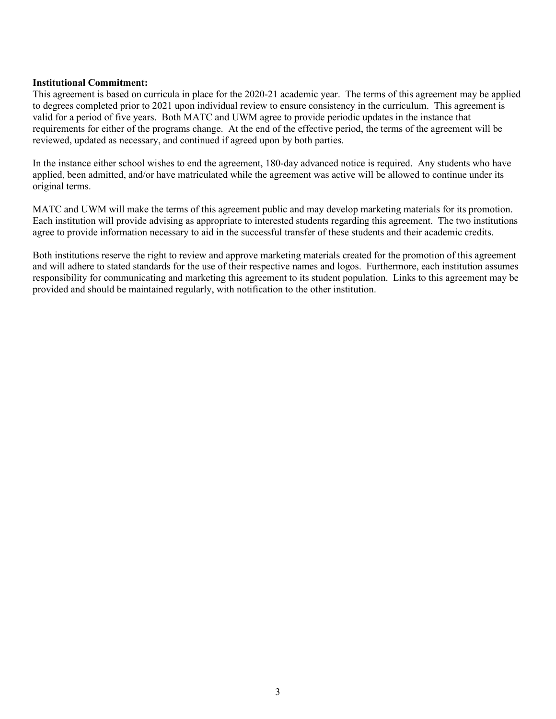## **Institutional Commitment:**

This agreement is based on curricula in place for the 2020-21 academic year. The terms of this agreement may be applied to degrees completed prior to 2021 upon individual review to ensure consistency in the curriculum. This agreement is valid for a period of five years. Both MATC and UWM agree to provide periodic updates in the instance that requirements for either of the programs change. At the end of the effective period, the terms of the agreement will be reviewed, updated as necessary, and continued if agreed upon by both parties.

In the instance either school wishes to end the agreement, 180-day advanced notice is required. Any students who have applied, been admitted, and/or have matriculated while the agreement was active will be allowed to continue under its original terms.

MATC and UWM will make the terms of this agreement public and may develop marketing materials for its promotion. Each institution will provide advising as appropriate to interested students regarding this agreement. The two institutions agree to provide information necessary to aid in the successful transfer of these students and their academic credits.

Both institutions reserve the right to review and approve marketing materials created for the promotion of this agreement and will adhere to stated standards for the use of their respective names and logos. Furthermore, each institution assumes responsibility for communicating and marketing this agreement to its student population. Links to this agreement may be provided and should be maintained regularly, with notification to the other institution.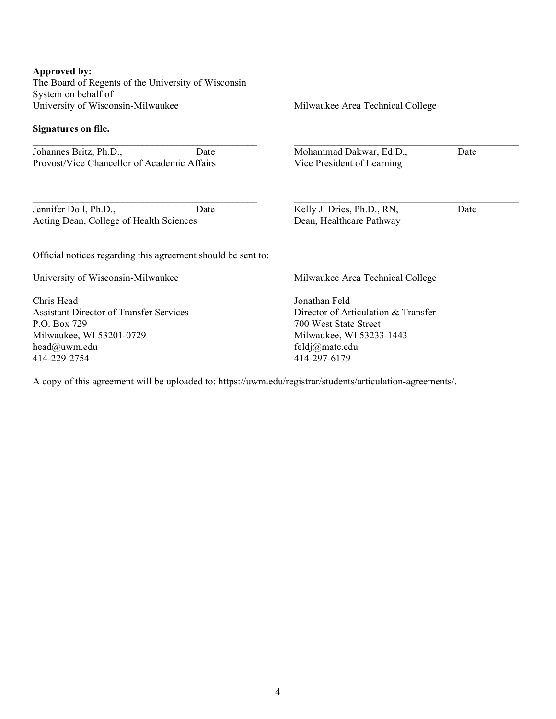#### **Approved by:**

The Board of Regents of the University of Wisconsin System on behalf of University of Wisconsin-Milwaukee

\_\_\_\_\_\_\_\_\_\_\_\_\_\_\_\_\_\_\_\_\_\_\_\_\_\_\_\_\_\_\_\_\_\_\_\_\_\_\_\_\_\_\_\_\_

 $\mathcal{L}_\text{max}$  , and the contract of the contract of the contract of the contract of the contract of the contract of the contract of the contract of the contract of the contract of the contract of the contract of the contr

#### **Signatures on file.**

Johannes Britz, Ph.D., Date Provost/Vice Chancellor of Academic Affairs

Jennifer Doll, Ph.D., Date Acting Dean, College of Health Sciences

Official notices regarding this agreement should be sent to:

University of Wisconsin-Milwaukee

Chris Head Assistant Director of Transfer Services P.O. Box 729 Milwaukee, WI 53201-0729 head@uwm.edu 414-229-2754

Milwaukee Area Technical College

\_\_\_\_\_\_\_\_\_\_\_\_\_\_\_\_\_\_\_\_\_\_\_\_\_\_\_\_\_\_\_\_\_\_\_\_\_\_\_\_\_\_\_\_\_

Mohammad Dakwar, Ed.D., Date Vice President of Learning

Kelly J. Dries, Ph.D., RN, Date Dean, Healthcare Pathway

 $\mathcal{L}_\text{max}$  , and the contract of the contract of the contract of the contract of the contract of the contract of the contract of the contract of the contract of the contract of the contract of the contract of the contr

Milwaukee Area Technical College

Jonathan Feld Director of Articulation & Transfer 700 West State Street Milwaukee, WI 53233-1443 feldj@matc.edu 414-297-6179

A copy of this agreement will be uploaded to: https://uwm.edu/registrar/students/articulation-agreements/.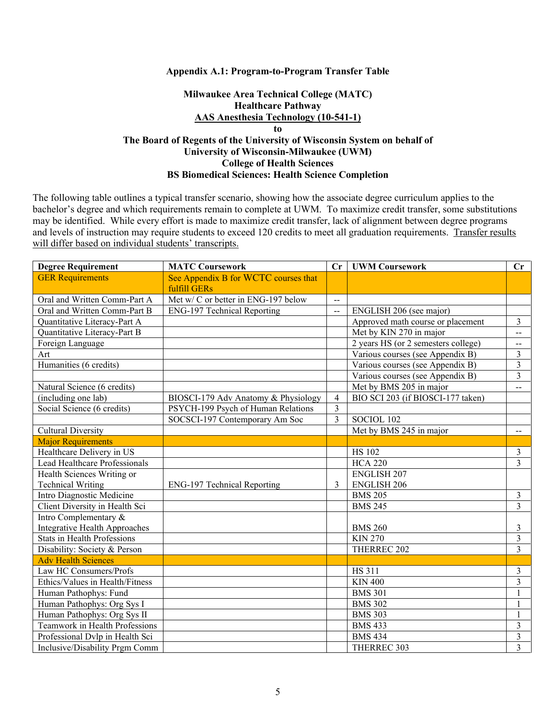#### **Appendix A.1: Program-to-Program Transfer Table**

## **Milwaukee Area Technical College (MATC) Healthcare Pathway AAS Anesthesia Technology (10-541-1) to The Board of Regents of the University of Wisconsin System on behalf of University of Wisconsin-Milwaukee (UWM) College of Health Sciences BS Biomedical Sciences: Health Science Completion**

| <b>Degree Requirement</b>            | <b>MATC Coursework</b>                               | Cr                       | <b>UWM Coursework</b>               | $\mathbf{C}\mathbf{r}$   |
|--------------------------------------|------------------------------------------------------|--------------------------|-------------------------------------|--------------------------|
| <b>GER Requirements</b>              | See Appendix B for WCTC courses that<br>fulfill GERs |                          |                                     |                          |
| Oral and Written Comm-Part A         | Met w/C or better in ENG-197 below                   | $-$                      |                                     |                          |
| Oral and Written Comm-Part B         | <b>ENG-197 Technical Reporting</b>                   | $-$                      | ENGLISH 206 (see major)             |                          |
| Quantitative Literacy-Part A         |                                                      |                          | Approved math course or placement   | $\overline{\mathbf{3}}$  |
| Quantitative Literacy-Part B         |                                                      |                          | Met by KIN 270 in major             | $-$                      |
| Foreign Language                     |                                                      |                          | 2 years HS (or 2 semesters college) | --                       |
| Art                                  |                                                      |                          | Various courses (see Appendix B)    | 3                        |
| Humanities (6 credits)               |                                                      |                          | Various courses (see Appendix B)    | $\overline{3}$           |
|                                      |                                                      |                          | Various courses (see Appendix B)    | $\overline{3}$           |
| Natural Science (6 credits)          |                                                      |                          | Met by BMS 205 in major             | $-$                      |
| (including one lab)                  | BIOSCI-179 Adv Anatomy & Physiology                  | $\overline{\mathcal{L}}$ | BIO SCI 203 (if BIOSCI-177 taken)   |                          |
| Social Science (6 credits)           | PSYCH-199 Psych of Human Relations                   | $\overline{3}$           |                                     |                          |
|                                      | SOCSCI-197 Contemporary Am Soc                       | 3                        | SOCIOL 102                          |                          |
| <b>Cultural Diversity</b>            |                                                      |                          | Met by BMS 245 in major             | $\overline{\phantom{a}}$ |
| <b>Major Requirements</b>            |                                                      |                          |                                     |                          |
| Healthcare Delivery in US            |                                                      |                          | <b>HS 102</b>                       | 3                        |
| Lead Healthcare Professionals        |                                                      |                          | <b>HCA 220</b>                      | $\overline{3}$           |
| Health Sciences Writing or           |                                                      |                          | <b>ENGLISH 207</b>                  |                          |
| <b>Technical Writing</b>             | ENG-197 Technical Reporting                          | 3                        | <b>ENGLISH 206</b>                  |                          |
| Intro Diagnostic Medicine            |                                                      |                          | <b>BMS 205</b>                      | $\overline{3}$           |
| Client Diversity in Health Sci       |                                                      |                          | <b>BMS 245</b>                      | $\overline{3}$           |
| Intro Complementary &                |                                                      |                          |                                     |                          |
| <b>Integrative Health Approaches</b> |                                                      |                          | <b>BMS 260</b>                      | 3                        |
| <b>Stats in Health Professions</b>   |                                                      |                          | <b>KIN 270</b>                      | 3                        |
| Disability: Society & Person         |                                                      |                          | THERREC 202                         | $\overline{3}$           |
| <b>Adv Health Sciences</b>           |                                                      |                          |                                     |                          |
| Law HC Consumers/Profs               |                                                      |                          | HS 311                              | 3                        |
| Ethics/Values in Health/Fitness      |                                                      |                          | <b>KIN 400</b>                      | $\overline{\mathbf{3}}$  |
| Human Pathophys: Fund                |                                                      |                          | <b>BMS 301</b>                      | 1                        |
| Human Pathophys: Org Sys I           |                                                      |                          | <b>BMS 302</b>                      | 1                        |
| Human Pathophys: Org Sys II          |                                                      |                          | <b>BMS 303</b>                      | 1                        |
| Teamwork in Health Professions       |                                                      |                          | <b>BMS 433</b>                      | 3                        |
| Professional Dvlp in Health Sci      |                                                      |                          | <b>BMS 434</b>                      | 3                        |
| Inclusive/Disability Prgm Comm       |                                                      |                          | THERREC 303                         | 3                        |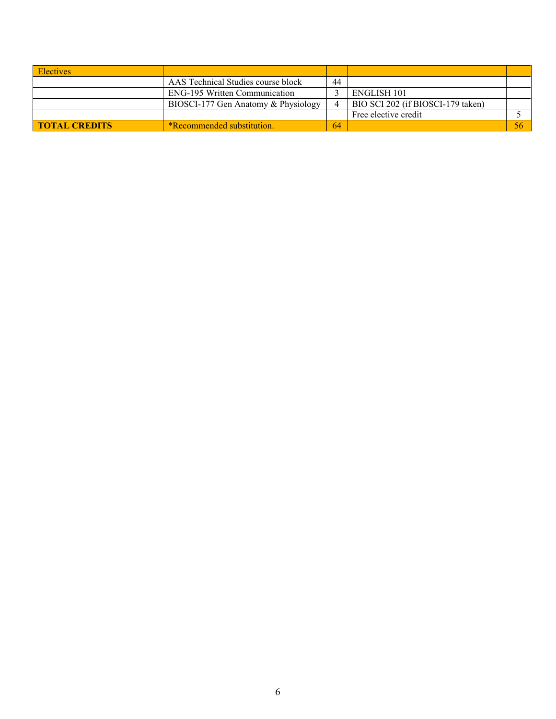| <b>Electives</b>     |                                      |    |                                   |    |
|----------------------|--------------------------------------|----|-----------------------------------|----|
|                      | AAS Technical Studies course block   | 44 |                                   |    |
|                      | <b>ENG-195 Written Communication</b> |    | ENGLISH 101                       |    |
|                      | BIOSCI-177 Gen Anatomy & Physiology  |    | BIO SCI 202 (if BIOSCI-179 taken) |    |
|                      |                                      |    | Free elective credit              |    |
| <b>TOTAL CREDITS</b> | *Recommended substitution.           | 64 |                                   | 56 |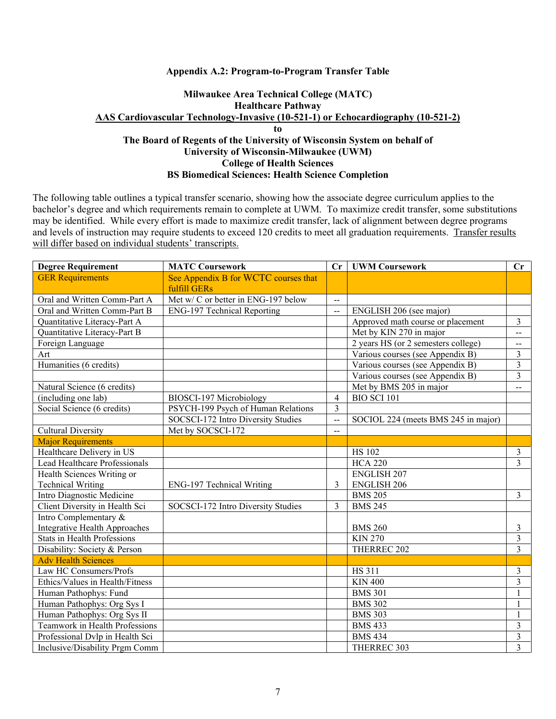### **Appendix A.2: Program-to-Program Transfer Table**

# **Milwaukee Area Technical College (MATC) Healthcare Pathway AAS Cardiovascular Technology-Invasive (10-521-1) or Echocardiography (10-521-2) to**

## **The Board of Regents of the University of Wisconsin System on behalf of University of Wisconsin-Milwaukee (UWM) College of Health Sciences BS Biomedical Sciences: Health Science Completion**

| <b>Degree Requirement</b>            | <b>MATC Coursework</b>                               | $\mathbf{C}\mathbf{r}$ | <b>UWM Coursework</b>               | $\mathbf{C}\mathbf{r}$  |
|--------------------------------------|------------------------------------------------------|------------------------|-------------------------------------|-------------------------|
| <b>GER Requirements</b>              | See Appendix B for WCTC courses that<br>fulfill GERs |                        |                                     |                         |
| Oral and Written Comm-Part A         | Met w/ C or better in ENG-197 below                  | $\sim$                 |                                     |                         |
| Oral and Written Comm-Part B         | <b>ENG-197 Technical Reporting</b>                   | $\overline{a}$         | ENGLISH 206 (see major)             |                         |
| Quantitative Literacy-Part A         |                                                      |                        | Approved math course or placement   | $\mathfrak{Z}$          |
| Quantitative Literacy-Part B         |                                                      |                        | Met by KIN 270 in major             | $\overline{a}$          |
| Foreign Language                     |                                                      |                        | 2 years HS (or 2 semesters college) | $\overline{a}$          |
| Art                                  |                                                      |                        | Various courses (see Appendix B)    | $\overline{3}$          |
| Humanities (6 credits)               |                                                      |                        | Various courses (see Appendix B)    | $\overline{\mathbf{3}}$ |
|                                      |                                                      |                        | Various courses (see Appendix B)    | $\overline{3}$          |
| Natural Science (6 credits)          |                                                      |                        | Met by BMS 205 in major             | $-$                     |
| (including one lab)                  | BIOSCI-197 Microbiology                              | $\overline{4}$         | <b>BIO SCI 101</b>                  |                         |
| Social Science (6 credits)           | PSYCH-199 Psych of Human Relations                   | $\overline{3}$         |                                     |                         |
|                                      | SOCSCI-172 Intro Diversity Studies                   | $\overline{a}$         | SOCIOL 224 (meets BMS 245 in major) |                         |
| <b>Cultural Diversity</b>            | Met by SOCSCI-172                                    | $-$                    |                                     |                         |
| <b>Major Requirements</b>            |                                                      |                        |                                     |                         |
| Healthcare Delivery in US            |                                                      |                        | <b>HS 102</b>                       | $\mathfrak{Z}$          |
| Lead Healthcare Professionals        |                                                      |                        | <b>HCA 220</b>                      | $\overline{3}$          |
| Health Sciences Writing or           |                                                      |                        | <b>ENGLISH 207</b>                  |                         |
| <b>Technical Writing</b>             | ENG-197 Technical Writing                            | 3                      | <b>ENGLISH 206</b>                  |                         |
| Intro Diagnostic Medicine            |                                                      |                        | <b>BMS 205</b>                      | $\overline{\mathbf{3}}$ |
| Client Diversity in Health Sci       | SOCSCI-172 Intro Diversity Studies                   | 3                      | <b>BMS 245</b>                      |                         |
| Intro Complementary &                |                                                      |                        |                                     |                         |
| <b>Integrative Health Approaches</b> |                                                      |                        | <b>BMS 260</b>                      | 3                       |
| <b>Stats in Health Professions</b>   |                                                      |                        | <b>KIN 270</b>                      | $\overline{3}$          |
| Disability: Society & Person         |                                                      |                        | THERREC 202                         | $\overline{3}$          |
| <b>Adv Health Sciences</b>           |                                                      |                        |                                     |                         |
| Law HC Consumers/Profs               |                                                      |                        | <b>HS 311</b>                       | $\mathfrak{Z}$          |
| Ethics/Values in Health/Fitness      |                                                      |                        | <b>KIN 400</b>                      | $\overline{\mathbf{3}}$ |
| Human Pathophys: Fund                |                                                      |                        | <b>BMS 301</b>                      | $\mathbf{1}$            |
| Human Pathophys: Org Sys I           |                                                      |                        | <b>BMS 302</b>                      | $\mathbf{1}$            |
| Human Pathophys: Org Sys II          |                                                      |                        | <b>BMS 303</b>                      | 1                       |
| Teamwork in Health Professions       |                                                      |                        | <b>BMS 433</b>                      | $\mathfrak{Z}$          |
| Professional Dvlp in Health Sci      |                                                      |                        | <b>BMS 434</b>                      | $\mathfrak{Z}$          |
| Inclusive/Disability Prgm Comm       |                                                      |                        | THERREC 303                         | $\overline{3}$          |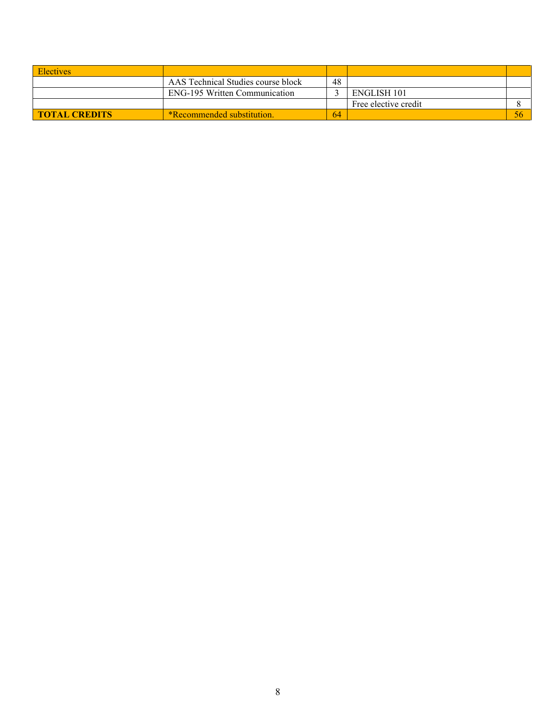| <b>Electives</b>     |                                      |     |                      |  |
|----------------------|--------------------------------------|-----|----------------------|--|
|                      | AAS Technical Studies course block   | 48  |                      |  |
|                      | <b>ENG-195 Written Communication</b> |     | ENGLISH 101          |  |
|                      |                                      |     | Free elective credit |  |
| <b>TOTAL CREDITS</b> | <b>*Recommended substitution.</b>    | -64 |                      |  |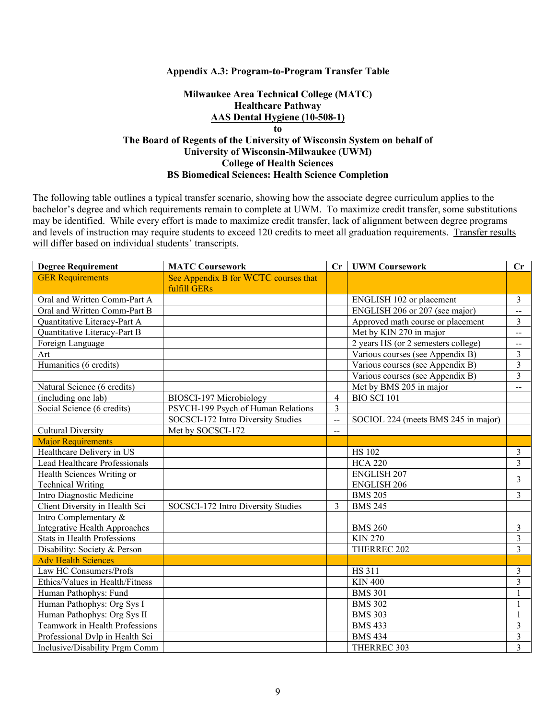#### **Appendix A.3: Program-to-Program Transfer Table**

### **Milwaukee Area Technical College (MATC) Healthcare Pathway AAS Dental Hygiene (10-508-1) to**

# **The Board of Regents of the University of Wisconsin System on behalf of University of Wisconsin-Milwaukee (UWM) College of Health Sciences BS Biomedical Sciences: Health Science Completion**

| <b>Degree Requirement</b>         | <b>MATC Coursework</b>               | Cr             | <b>UWM Coursework</b>               | Cr                       |
|-----------------------------------|--------------------------------------|----------------|-------------------------------------|--------------------------|
| <b>GER Requirements</b>           | See Appendix B for WCTC courses that |                |                                     |                          |
|                                   | fulfill GERs                         |                |                                     |                          |
| Oral and Written Comm-Part A      |                                      |                | ENGLISH 102 or placement            | $\mathfrak{Z}$           |
| Oral and Written Comm-Part B      |                                      |                | ENGLISH 206 or 207 (see major)      | $\overline{\phantom{a}}$ |
| Quantitative Literacy-Part A      |                                      |                | Approved math course or placement   | 3                        |
| Quantitative Literacy-Part B      |                                      |                | Met by KIN 270 in major             | $\overline{\phantom{a}}$ |
| Foreign Language                  |                                      |                | 2 years HS (or 2 semesters college) | $\overline{\phantom{a}}$ |
| Art                               |                                      |                | Various courses (see Appendix B)    | $\overline{3}$           |
| Humanities (6 credits)            |                                      |                | Various courses (see Appendix B)    | $\overline{3}$           |
|                                   |                                      |                | Various courses (see Appendix B)    | $\overline{3}$           |
| Natural Science (6 credits)       |                                      |                | Met by BMS 205 in major             | $-$                      |
| (including one $\overline{lab}$ ) | BIOSCI-197 Microbiology              | $\overline{4}$ | <b>BIO SCI 101</b>                  |                          |
| Social Science (6 credits)        | PSYCH-199 Psych of Human Relations   | 3              |                                     |                          |
|                                   | SOCSCI-172 Intro Diversity Studies   | $\overline{a}$ | SOCIOL 224 (meets BMS 245 in major) |                          |
| <b>Cultural Diversity</b>         | Met by SOCSCI-172                    | $-$            |                                     |                          |
| <b>Major Requirements</b>         |                                      |                |                                     |                          |
| Healthcare Delivery in US         |                                      |                | <b>HS 102</b>                       | $\mathfrak{Z}$           |
| Lead Healthcare Professionals     |                                      |                | <b>HCA 220</b>                      | $\overline{3}$           |
| Health Sciences Writing or        |                                      |                | <b>ENGLISH 207</b>                  | 3                        |
| <b>Technical Writing</b>          |                                      |                | <b>ENGLISH 206</b>                  |                          |
| Intro Diagnostic Medicine         |                                      |                | <b>BMS 205</b>                      | $\overline{3}$           |
| Client Diversity in Health Sci    | SOCSCI-172 Intro Diversity Studies   | 3              | <b>BMS 245</b>                      |                          |
| Intro Complementary &             |                                      |                |                                     |                          |
| Integrative Health Approaches     |                                      |                | <b>BMS 260</b>                      | 3                        |
| Stats in Health Professions       |                                      |                | <b>KIN 270</b>                      | $\overline{3}$           |
| Disability: Society & Person      |                                      |                | THERREC 202                         | $\overline{3}$           |
| <b>Adv Health Sciences</b>        |                                      |                |                                     |                          |
| Law HC Consumers/Profs            |                                      |                | <b>HS 311</b>                       | 3                        |
| Ethics/Values in Health/Fitness   |                                      |                | <b>KIN 400</b>                      | $\overline{3}$           |
| Human Pathophys: Fund             |                                      |                | <b>BMS 301</b>                      | 1                        |
| Human Pathophys: Org Sys I        |                                      |                | <b>BMS 302</b>                      | $\mathbf{1}$             |
| Human Pathophys: Org Sys II       |                                      |                | <b>BMS 303</b>                      | $\mathbf{1}$             |
| Teamwork in Health Professions    |                                      |                | <b>BMS 433</b>                      | 3                        |
| Professional Dvlp in Health Sci   |                                      |                | <b>BMS 434</b>                      | $\mathfrak{Z}$           |
| Inclusive/Disability Prgm Comm    |                                      |                | THERREC 303                         | $\overline{3}$           |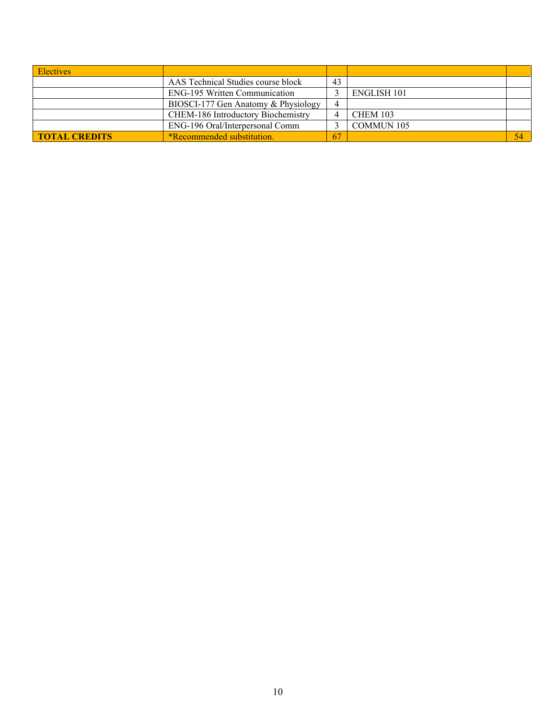| <b>Electives</b>     |                                      |    |                    |  |
|----------------------|--------------------------------------|----|--------------------|--|
|                      | AAS Technical Studies course block   | 43 |                    |  |
|                      | <b>ENG-195 Written Communication</b> |    | <b>ENGLISH 101</b> |  |
|                      | BIOSCI-177 Gen Anatomy & Physiology  | 4  |                    |  |
|                      | CHEM-186 Introductory Biochemistry   |    | <b>CHEM 103</b>    |  |
|                      | ENG-196 Oral/Interpersonal Comm      |    | <b>COMMUN 105</b>  |  |
| <b>TOTAL CREDITS</b> | <b>*Recommended substitution.</b>    | 67 |                    |  |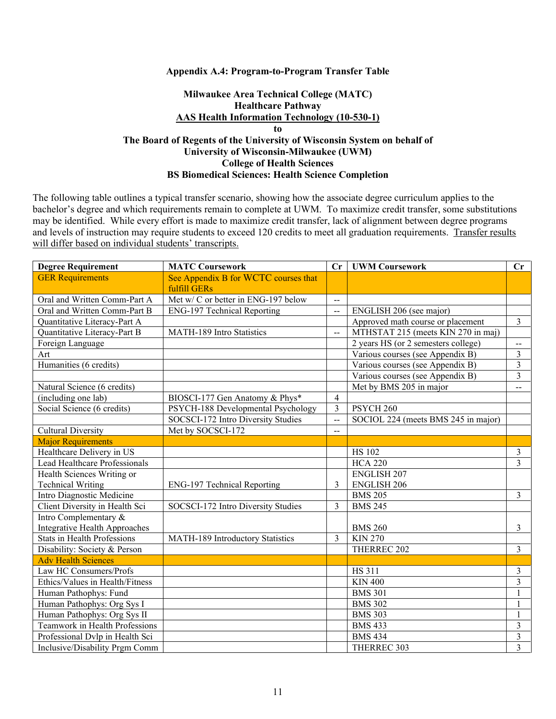#### **Appendix A.4: Program-to-Program Transfer Table**

## **Milwaukee Area Technical College (MATC) Healthcare Pathway AAS Health Information Technology (10-530-1) to The Board of Regents of the University of Wisconsin System on behalf of University of Wisconsin-Milwaukee (UWM) College of Health Sciences BS Biomedical Sciences: Health Science Completion**

| <b>Degree Requirement</b>          | <b>MATC Coursework</b>               | Cr                       | <b>UWM Coursework</b>               | Cr                                            |
|------------------------------------|--------------------------------------|--------------------------|-------------------------------------|-----------------------------------------------|
| <b>GER Requirements</b>            | See Appendix B for WCTC courses that |                          |                                     |                                               |
|                                    | fulfill GERs                         |                          |                                     |                                               |
| Oral and Written Comm-Part A       | Met w/ C or better in ENG-197 below  | $\overline{a}$           |                                     |                                               |
| Oral and Written Comm-Part B       | ENG-197 Technical Reporting          | $\overline{a}$           | ENGLISH 206 (see major)             |                                               |
| Quantitative Literacy-Part A       |                                      |                          | Approved math course or placement   | $\overline{3}$                                |
| Quantitative Literacy-Part B       | MATH-189 Intro Statistics            | $\overline{\phantom{a}}$ | MTHSTAT 215 (meets KIN 270 in maj)  |                                               |
| Foreign Language                   |                                      |                          | 2 years HS (or 2 semesters college) | $\mathord{\hspace{1pt}\text{--}\hspace{1pt}}$ |
| Art                                |                                      |                          | Various courses (see Appendix B)    | $\overline{\mathbf{3}}$                       |
| Humanities (6 credits)             |                                      |                          | Various courses (see Appendix B)    | 3                                             |
|                                    |                                      |                          | Various courses (see Appendix B)    | $\overline{3}$                                |
| Natural Science (6 credits)        |                                      |                          | Met by BMS 205 in major             | $-$                                           |
| (including one lab)                | BIOSCI-177 Gen Anatomy & Phys*       | $\overline{4}$           |                                     |                                               |
| Social Science (6 credits)         | PSYCH-188 Developmental Psychology   | $\overline{3}$           | PSYCH <sub>260</sub>                |                                               |
|                                    | SOCSCI-172 Intro Diversity Studies   | $\overline{a}$           | SOCIOL 224 (meets BMS 245 in major) |                                               |
| <b>Cultural Diversity</b>          | Met by SOCSCI-172                    | $-$                      |                                     |                                               |
| <b>Major Requirements</b>          |                                      |                          |                                     |                                               |
| Healthcare Delivery in US          |                                      |                          | <b>HS 102</b>                       | $\mathfrak{Z}$                                |
| Lead Healthcare Professionals      |                                      |                          | <b>HCA 220</b>                      | $\overline{3}$                                |
| Health Sciences Writing or         |                                      |                          | <b>ENGLISH 207</b>                  |                                               |
| <b>Technical Writing</b>           | ENG-197 Technical Reporting          | 3                        | <b>ENGLISH 206</b>                  |                                               |
| Intro Diagnostic Medicine          |                                      |                          | <b>BMS 205</b>                      | $\overline{3}$                                |
| Client Diversity in Health Sci     | SOCSCI-172 Intro Diversity Studies   | $\overline{3}$           | <b>BMS 245</b>                      |                                               |
| Intro Complementary &              |                                      |                          |                                     |                                               |
| Integrative Health Approaches      |                                      |                          | <b>BMS 260</b>                      | 3                                             |
| <b>Stats in Health Professions</b> | MATH-189 Introductory Statistics     | 3                        | <b>KIN 270</b>                      |                                               |
| Disability: Society & Person       |                                      |                          | THERREC 202                         | $\overline{3}$                                |
| <b>Adv Health Sciences</b>         |                                      |                          |                                     |                                               |
| Law HC Consumers/Profs             |                                      |                          | <b>HS 311</b>                       | 3                                             |
| Ethics/Values in Health/Fitness    |                                      |                          | <b>KIN 400</b>                      | $\overline{3}$                                |
| Human Pathophys: Fund              |                                      |                          | <b>BMS 301</b>                      | $\mathbf{1}$                                  |
| Human Pathophys: Org Sys I         |                                      |                          | <b>BMS 302</b>                      | $\mathbf{1}$                                  |
| Human Pathophys: Org Sys II        |                                      |                          | <b>BMS 303</b>                      | 1                                             |
| Teamwork in Health Professions     |                                      |                          | <b>BMS 433</b>                      | 3                                             |
| Professional Dvlp in Health Sci    |                                      |                          | <b>BMS 434</b>                      | 3                                             |
| Inclusive/Disability Prgm Comm     |                                      |                          | THERREC 303                         | $\overline{3}$                                |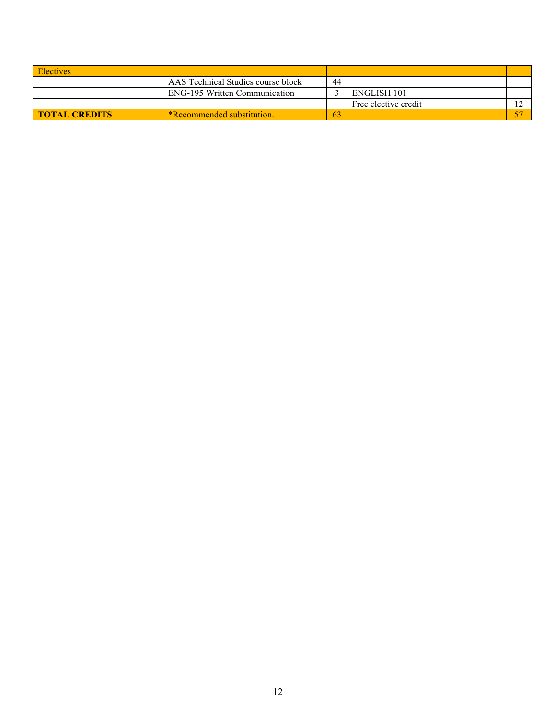| <b>Electives</b>     |                                      |    |                      |  |
|----------------------|--------------------------------------|----|----------------------|--|
|                      | AAS Technical Studies course block   | 44 |                      |  |
|                      | <b>ENG-195 Written Communication</b> |    | ENGLISH 101          |  |
|                      |                                      |    | Free elective credit |  |
| <b>TOTAL CREDITS</b> | <b>*Recommended substitution.</b>    | 63 |                      |  |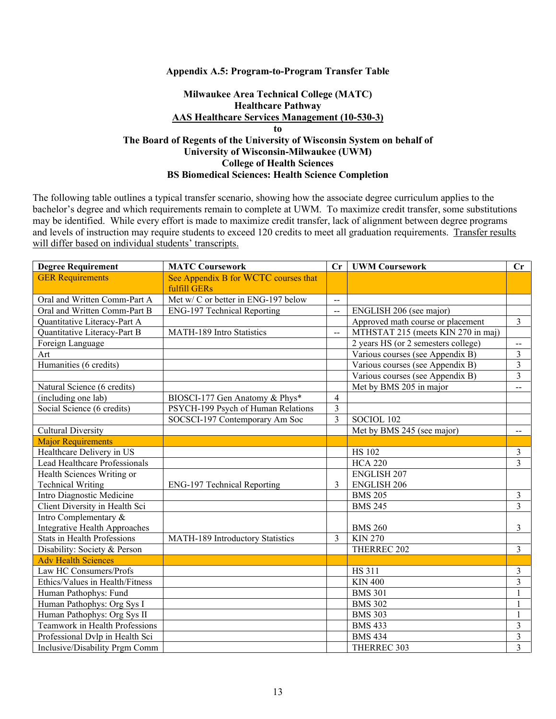#### **Appendix A.5: Program-to-Program Transfer Table**

## **Milwaukee Area Technical College (MATC) Healthcare Pathway AAS Healthcare Services Management (10-530-3) to The Board of Regents of the University of Wisconsin System on behalf of University of Wisconsin-Milwaukee (UWM) College of Health Sciences BS Biomedical Sciences: Health Science Completion**

| <b>Degree Requirement</b>            | <b>MATC Coursework</b>               | Cr                       | <b>UWM Coursework</b>               | Cr                      |
|--------------------------------------|--------------------------------------|--------------------------|-------------------------------------|-------------------------|
| <b>GER Requirements</b>              | See Appendix B for WCTC courses that |                          |                                     |                         |
|                                      | fulfill GERs                         |                          |                                     |                         |
| Oral and Written Comm-Part A         | Met w/ C or better in ENG-197 below  | $\overline{\phantom{a}}$ |                                     |                         |
| Oral and Written Comm-Part B         | <b>ENG-197 Technical Reporting</b>   | $\overline{a}$           | ENGLISH 206 (see major)             |                         |
| Quantitative Literacy-Part A         |                                      |                          | Approved math course or placement   | $\overline{3}$          |
| Quantitative Literacy-Part B         | MATH-189 Intro Statistics            | $\overline{a}$           | MTHSTAT 215 (meets KIN 270 in maj)  |                         |
| Foreign Language                     |                                      |                          | 2 years HS (or 2 semesters college) | $-$                     |
| Art                                  |                                      |                          | Various courses (see Appendix B)    | $\overline{3}$          |
| Humanities (6 credits)               |                                      |                          | Various courses (see Appendix B)    | 3                       |
|                                      |                                      |                          | Various courses (see Appendix B)    | $\overline{3}$          |
| Natural Science (6 credits)          |                                      |                          | Met by BMS 205 in major             | $- -$                   |
| (including one lab)                  | BIOSCI-177 Gen Anatomy & Phys*       | 4                        |                                     |                         |
| Social Science (6 credits)           | PSYCH-199 Psych of Human Relations   | 3                        |                                     |                         |
|                                      | SOCSCI-197 Contemporary Am Soc       | 3                        | SOCIOL 102                          |                         |
| <b>Cultural Diversity</b>            |                                      |                          | Met by BMS 245 (see major)          | $\overline{a}$          |
| <b>Major Requirements</b>            |                                      |                          |                                     |                         |
| Healthcare Delivery in US            |                                      |                          | <b>HS 102</b>                       | $\mathfrak{Z}$          |
| Lead Healthcare Professionals        |                                      |                          | <b>HCA 220</b>                      | 3                       |
| Health Sciences Writing or           |                                      |                          | <b>ENGLISH 207</b>                  |                         |
| <b>Technical Writing</b>             | <b>ENG-197 Technical Reporting</b>   | 3                        | <b>ENGLISH 206</b>                  |                         |
| Intro Diagnostic Medicine            |                                      |                          | <b>BMS 205</b>                      | $\overline{3}$          |
| Client Diversity in Health Sci       |                                      |                          | <b>BMS 245</b>                      | $\overline{3}$          |
| Intro Complementary &                |                                      |                          |                                     |                         |
| <b>Integrative Health Approaches</b> |                                      |                          | <b>BMS 260</b>                      | 3                       |
| <b>Stats in Health Professions</b>   | MATH-189 Introductory Statistics     | 3                        | <b>KIN 270</b>                      |                         |
| Disability: Society & Person         |                                      |                          | THERREC 202                         | 3                       |
| <b>Adv Health Sciences</b>           |                                      |                          |                                     |                         |
| Law HC Consumers/Profs               |                                      |                          | <b>HS 311</b>                       | 3                       |
| Ethics/Values in Health/Fitness      |                                      |                          | <b>KIN 400</b>                      | $\overline{3}$          |
| Human Pathophys: Fund                |                                      |                          | <b>BMS 301</b>                      |                         |
| Human Pathophys: Org Sys I           |                                      |                          | <b>BMS 302</b>                      | 1                       |
| Human Pathophys: Org Sys II          |                                      |                          | <b>BMS 303</b>                      | 1                       |
| Teamwork in Health Professions       |                                      |                          | <b>BMS 433</b>                      | 3                       |
| Professional Dvlp in Health Sci      |                                      |                          | <b>BMS 434</b>                      | 3                       |
| Inclusive/Disability Prgm Comm       |                                      |                          | THERREC 303                         | $\overline{\mathbf{3}}$ |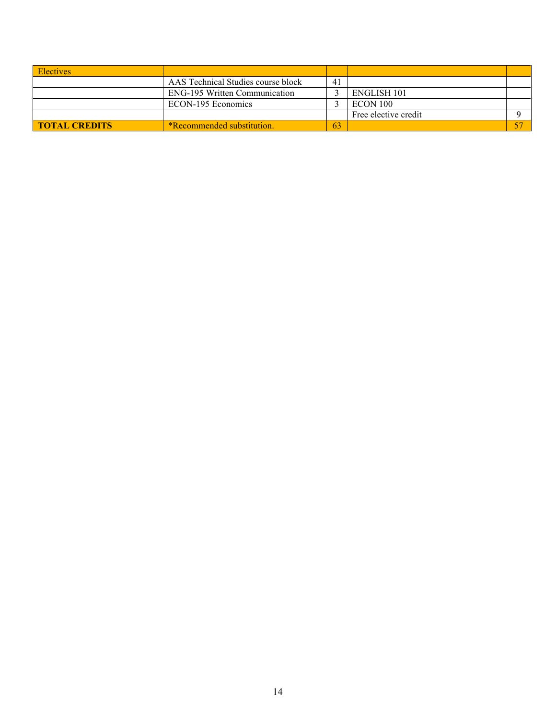| <b>Electives</b>     |                                      |                |                      |  |
|----------------------|--------------------------------------|----------------|----------------------|--|
|                      | AAS Technical Studies course block   | 4 <sub>1</sub> |                      |  |
|                      | <b>ENG-195 Written Communication</b> |                | ENGLISH 101          |  |
|                      | ECON-195 Economics                   |                | ECON 100             |  |
|                      |                                      |                | Free elective credit |  |
| <b>TOTAL CREDITS</b> | *Recommended substitution.           | 63             |                      |  |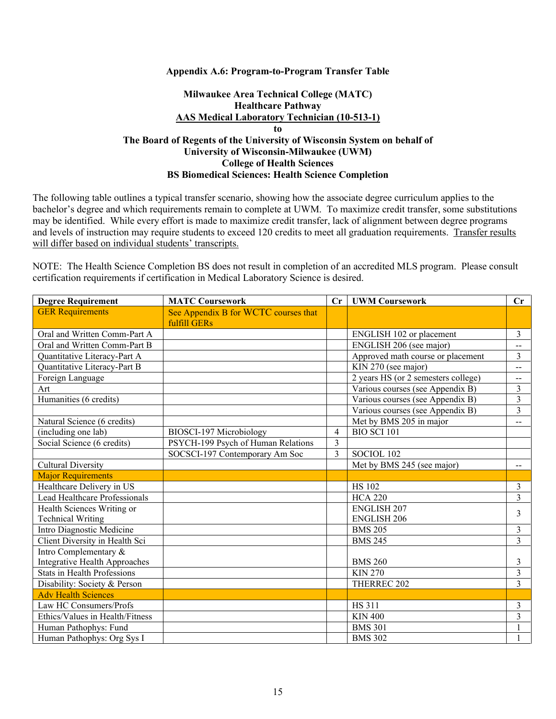### **Appendix A.6: Program-to-Program Transfer Table**

### **Milwaukee Area Technical College (MATC) Healthcare Pathway AAS Medical Laboratory Technician (10-513-1) to The Board of Regents of the University of Wisconsin System on behalf of University of Wisconsin-Milwaukee (UWM) College of Health Sciences BS Biomedical Sciences: Health Science Completion**

The following table outlines a typical transfer scenario, showing how the associate degree curriculum applies to the bachelor's degree and which requirements remain to complete at UWM. To maximize credit transfer, some substitutions may be identified. While every effort is made to maximize credit transfer, lack of alignment between degree programs and levels of instruction may require students to exceed 120 credits to meet all graduation requirements. Transfer results will differ based on individual students' transcripts.

NOTE: The Health Science Completion BS does not result in completion of an accredited MLS program. Please consult certification requirements if certification in Medical Laboratory Science is desired.

| <b>Degree Requirement</b>          | <b>MATC Coursework</b>               | $\mathbf{C}$ r | <b>UWM Coursework</b>               | Cr             |
|------------------------------------|--------------------------------------|----------------|-------------------------------------|----------------|
| <b>GER Requirements</b>            | See Appendix B for WCTC courses that |                |                                     |                |
|                                    | fulfill GERs                         |                |                                     |                |
| Oral and Written Comm-Part A       |                                      |                | ENGLISH 102 or placement            | $\overline{3}$ |
| Oral and Written Comm-Part B       |                                      |                | ENGLISH 206 (see major)             | $-$            |
| Quantitative Literacy-Part A       |                                      |                | Approved math course or placement   | 3              |
| Quantitative Literacy-Part B       |                                      |                | KIN 270 (see major)                 | $\overline{a}$ |
| Foreign Language                   |                                      |                | 2 years HS (or 2 semesters college) | --             |
| Art                                |                                      |                | Various courses (see Appendix B)    | $\overline{3}$ |
| Humanities (6 credits)             |                                      |                | Various courses (see Appendix B)    | 3              |
|                                    |                                      |                | Various courses (see Appendix B)    | 3              |
| Natural Science (6 credits)        |                                      |                | Met by BMS 205 in major             | --             |
| (including one lab)                | BIOSCI-197 Microbiology              | 4              | $BIO$ SCI $101$                     |                |
| Social Science (6 credits)         | PSYCH-199 Psych of Human Relations   | 3              |                                     |                |
|                                    | SOCSCI-197 Contemporary Am Soc       | 3              | SOCIOL 102                          |                |
| <b>Cultural Diversity</b>          |                                      |                | Met by BMS 245 (see major)          |                |
| <b>Major Requirements</b>          |                                      |                |                                     |                |
| Healthcare Delivery in US          |                                      |                | <b>HS 102</b>                       | 3              |
| Lead Healthcare Professionals      |                                      |                | <b>HCA 220</b>                      | 3              |
| Health Sciences Writing or         |                                      |                | <b>ENGLISH 207</b>                  | 3              |
| <b>Technical Writing</b>           |                                      |                | <b>ENGLISH 206</b>                  |                |
| Intro Diagnostic Medicine          |                                      |                | <b>BMS 205</b>                      | 3              |
| Client Diversity in Health Sci     |                                      |                | <b>BMS 245</b>                      | 3              |
| Intro Complementary &              |                                      |                |                                     |                |
| Integrative Health Approaches      |                                      |                | <b>BMS 260</b>                      | 3              |
| <b>Stats in Health Professions</b> |                                      |                | <b>KIN 270</b>                      | $\overline{3}$ |
| Disability: Society & Person       |                                      |                | THERREC 202                         | 3              |
| <b>Adv Health Sciences</b>         |                                      |                |                                     |                |
| Law HC Consumers/Profs             |                                      |                | <b>HS 311</b>                       | 3              |
| Ethics/Values in Health/Fitness    |                                      |                | <b>KIN 400</b>                      | 3              |
| Human Pathophys: Fund              |                                      |                | <b>BMS 301</b>                      |                |
| Human Pathophys: Org Sys I         |                                      |                | <b>BMS 302</b>                      |                |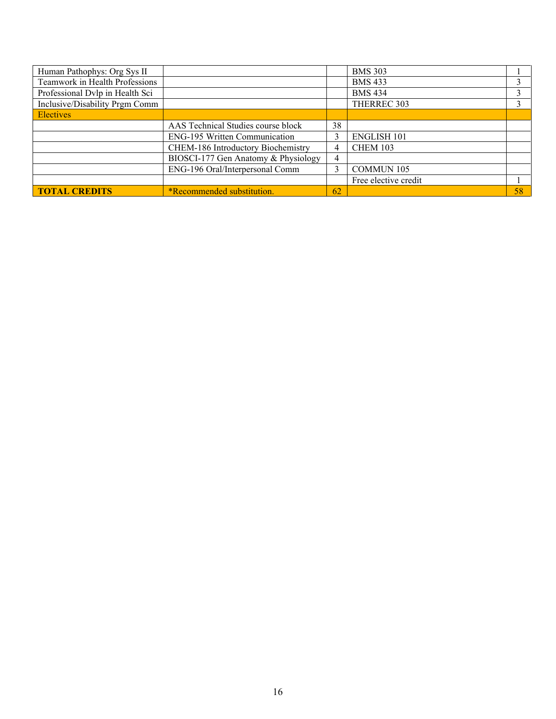| Human Pathophys: Org Sys II     |                                     |    | <b>BMS 303</b>       |    |
|---------------------------------|-------------------------------------|----|----------------------|----|
| Teamwork in Health Professions  |                                     |    | <b>BMS 433</b>       |    |
| Professional Dvlp in Health Sci |                                     |    | <b>BMS 434</b>       |    |
| Inclusive/Disability Prgm Comm  |                                     |    | THERREC 303          |    |
| <b>Electives</b>                |                                     |    |                      |    |
|                                 | AAS Technical Studies course block  | 38 |                      |    |
|                                 | ENG-195 Written Communication       |    | <b>ENGLISH 101</b>   |    |
|                                 | CHEM-186 Introductory Biochemistry  | 4  | <b>CHEM 103</b>      |    |
|                                 | BIOSCI-177 Gen Anatomy & Physiology | 4  |                      |    |
|                                 | ENG-196 Oral/Interpersonal Comm     |    | <b>COMMUN 105</b>    |    |
|                                 |                                     |    | Free elective credit |    |
| <b>TOTAL CREDITS</b>            | <i>*Recommended substitution.</i>   | 62 |                      | 58 |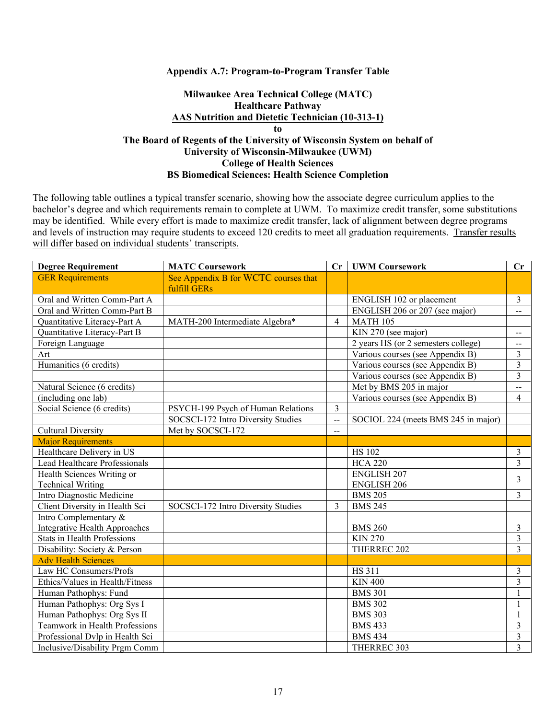### **Appendix A.7: Program-to-Program Transfer Table**

## **Milwaukee Area Technical College (MATC) Healthcare Pathway AAS Nutrition and Dietetic Technician (10-313-1) to The Board of Regents of the University of Wisconsin System on behalf of University of Wisconsin-Milwaukee (UWM) College of Health Sciences BS Biomedical Sciences: Health Science Completion**

| <b>Degree Requirement</b>          | <b>MATC Coursework</b>               | Cr                       | <b>UWM Coursework</b>               | Cr                       |
|------------------------------------|--------------------------------------|--------------------------|-------------------------------------|--------------------------|
| <b>GER Requirements</b>            | See Appendix B for WCTC courses that |                          |                                     |                          |
|                                    | fulfill GERs                         |                          |                                     |                          |
| Oral and Written Comm-Part A       |                                      |                          | ENGLISH 102 or placement            | $\mathfrak{Z}$           |
| Oral and Written Comm-Part B       |                                      |                          | ENGLISH 206 or 207 (see major)      | $\overline{a}$           |
| Quantitative Literacy-Part A       | MATH-200 Intermediate Algebra*       | $\overline{\mathcal{L}}$ | <b>MATH 105</b>                     |                          |
| Quantitative Literacy-Part B       |                                      |                          | KIN 270 (see major)                 | $\overline{\phantom{m}}$ |
| Foreign Language                   |                                      |                          | 2 years HS (or 2 semesters college) | $- -$                    |
| Art                                |                                      |                          | Various courses (see Appendix B)    | 3                        |
| Humanities (6 credits)             |                                      |                          | Various courses (see Appendix B)    | $\overline{3}$           |
|                                    |                                      |                          | Various courses (see Appendix B)    | $\overline{3}$           |
| Natural Science (6 credits)        |                                      |                          | Met by BMS 205 in major             | $\overline{\phantom{a}}$ |
| (including one lab)                |                                      |                          | Various courses (see Appendix B)    | $\overline{4}$           |
| Social Science (6 credits)         | PSYCH-199 Psych of Human Relations   | $\overline{3}$           |                                     |                          |
|                                    | SOCSCI-172 Intro Diversity Studies   | $\overline{\phantom{a}}$ | SOCIOL 224 (meets BMS 245 in major) |                          |
| <b>Cultural Diversity</b>          | Met by SOCSCI-172                    | $-$                      |                                     |                          |
| <b>Major Requirements</b>          |                                      |                          |                                     |                          |
| Healthcare Delivery in US          |                                      |                          | <b>HS 102</b>                       | $\mathfrak{Z}$           |
| Lead Healthcare Professionals      |                                      |                          | <b>HCA 220</b>                      | $\overline{3}$           |
| Health Sciences Writing or         |                                      |                          | <b>ENGLISH 207</b>                  | 3                        |
| <b>Technical Writing</b>           |                                      |                          | <b>ENGLISH 206</b>                  |                          |
| Intro Diagnostic Medicine          |                                      |                          | <b>BMS 205</b>                      | $\overline{3}$           |
| Client Diversity in Health Sci     | SOCSCI-172 Intro Diversity Studies   | 3                        | <b>BMS 245</b>                      |                          |
| Intro Complementary &              |                                      |                          |                                     |                          |
| Integrative Health Approaches      |                                      |                          | <b>BMS 260</b>                      | 3                        |
| <b>Stats in Health Professions</b> |                                      |                          | <b>KIN 270</b>                      | $\mathfrak{Z}$           |
| Disability: Society & Person       |                                      |                          | THERREC 202                         | $\overline{\mathbf{3}}$  |
| <b>Adv Health Sciences</b>         |                                      |                          |                                     |                          |
| Law HC Consumers/Profs             |                                      |                          | <b>HS 311</b>                       | 3                        |
| Ethics/Values in Health/Fitness    |                                      |                          | <b>KIN 400</b>                      | $\overline{\mathbf{3}}$  |
| Human Pathophys: Fund              |                                      |                          | <b>BMS 301</b>                      | $\mathbf{1}$             |
| Human Pathophys: Org Sys I         |                                      |                          | <b>BMS 302</b>                      | 1                        |
| Human Pathophys: Org Sys II        |                                      |                          | <b>BMS 303</b>                      | $\mathbf{1}$             |
| Teamwork in Health Professions     |                                      |                          | <b>BMS 433</b>                      | $\mathfrak{Z}$           |
| Professional Dvlp in Health Sci    |                                      |                          | <b>BMS 434</b>                      | $\mathfrak{Z}$           |
| Inclusive/Disability Prgm Comm     |                                      |                          | THERREC 303                         | $\overline{3}$           |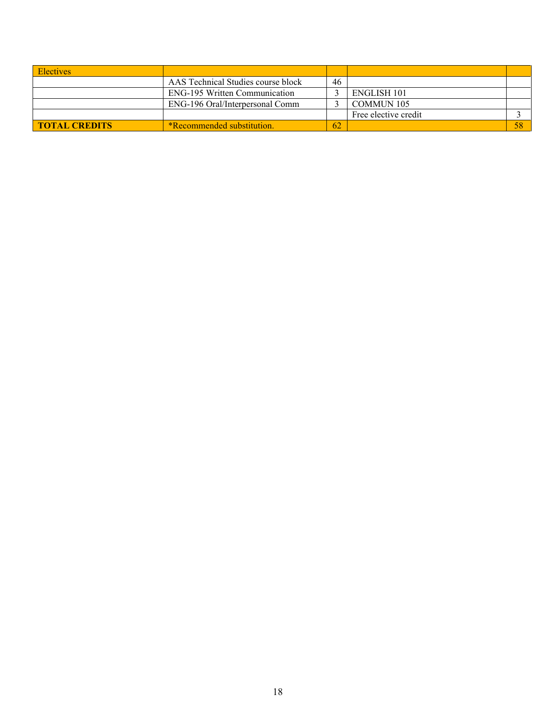| <b>Electives</b>     |                                      |    |                      |  |
|----------------------|--------------------------------------|----|----------------------|--|
|                      | AAS Technical Studies course block   | 46 |                      |  |
|                      | <b>ENG-195 Written Communication</b> |    | ENGLISH 101          |  |
|                      | ENG-196 Oral/Interpersonal Comm      |    | <b>COMMUN 105</b>    |  |
|                      |                                      |    | Free elective credit |  |
| <b>TOTAL CREDITS</b> | <b>*Recommended substitution.</b>    | 62 |                      |  |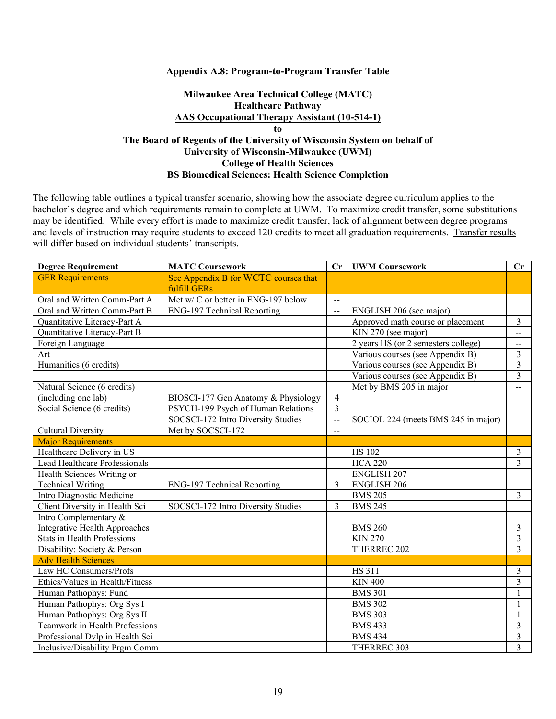#### **Appendix A.8: Program-to-Program Transfer Table**

## **Milwaukee Area Technical College (MATC) Healthcare Pathway AAS Occupational Therapy Assistant (10-514-1) to The Board of Regents of the University of Wisconsin System on behalf of University of Wisconsin-Milwaukee (UWM) College of Health Sciences BS Biomedical Sciences: Health Science Completion**

| <b>Degree Requirement</b>          | <b>MATC Coursework</b>                               | Cr             | <b>UWM Coursework</b>               | Cr                      |
|------------------------------------|------------------------------------------------------|----------------|-------------------------------------|-------------------------|
| <b>GER Requirements</b>            | See Appendix B for WCTC courses that<br>fulfill GERs |                |                                     |                         |
| Oral and Written Comm-Part A       | Met w/ C or better in ENG-197 below                  | $\overline{a}$ |                                     |                         |
| Oral and Written Comm-Part B       | <b>ENG-197 Technical Reporting</b>                   | $\overline{a}$ | ENGLISH 206 (see major)             |                         |
| Quantitative Literacy-Part A       |                                                      |                | Approved math course or placement   | $\overline{3}$          |
| Quantitative Literacy-Part B       |                                                      |                | KIN 270 (see major)                 | $\overline{a}$          |
| Foreign Language                   |                                                      |                | 2 years HS (or 2 semesters college) | $- -$                   |
| Art                                |                                                      |                | Various courses (see Appendix B)    | $\overline{3}$          |
| Humanities (6 credits)             |                                                      |                | Various courses (see Appendix B)    | $\overline{3}$          |
|                                    |                                                      |                | Various courses (see Appendix B)    | $\overline{3}$          |
| Natural Science (6 credits)        |                                                      |                | Met by BMS 205 in major             | $\overline{a}$          |
| (including one lab)                | BIOSCI-177 Gen Anatomy & Physiology                  | $\overline{4}$ |                                     |                         |
| Social Science (6 credits)         | PSYCH-199 Psych of Human Relations                   | $\overline{3}$ |                                     |                         |
|                                    | SOCSCI-172 Intro Diversity Studies                   | $\overline{a}$ | SOCIOL 224 (meets BMS 245 in major) |                         |
| <b>Cultural Diversity</b>          | Met by SOCSCI-172                                    | $-$            |                                     |                         |
| <b>Major Requirements</b>          |                                                      |                |                                     |                         |
| Healthcare Delivery in US          |                                                      |                | <b>HS 102</b>                       | $\mathfrak{Z}$          |
| Lead Healthcare Professionals      |                                                      |                | <b>HCA 220</b>                      | $\overline{3}$          |
| Health Sciences Writing or         |                                                      |                | <b>ENGLISH 207</b>                  |                         |
| <b>Technical Writing</b>           | <b>ENG-197 Technical Reporting</b>                   | 3              | <b>ENGLISH 206</b>                  |                         |
| Intro Diagnostic Medicine          |                                                      |                | <b>BMS 205</b>                      | $\overline{3}$          |
| Client Diversity in Health Sci     | SOCSCI-172 Intro Diversity Studies                   | $\mathbf{3}$   | <b>BMS 245</b>                      |                         |
| Intro Complementary &              |                                                      |                |                                     |                         |
| Integrative Health Approaches      |                                                      |                | <b>BMS 260</b>                      | 3                       |
| <b>Stats in Health Professions</b> |                                                      |                | <b>KIN 270</b>                      | $\mathfrak{Z}$          |
| Disability: Society & Person       |                                                      |                | THERREC 202                         | $\overline{3}$          |
| <b>Adv Health Sciences</b>         |                                                      |                |                                     |                         |
| Law HC Consumers/Profs             |                                                      |                | <b>HS 311</b>                       | 3                       |
| Ethics/Values in Health/Fitness    |                                                      |                | <b>KIN 400</b>                      | $\overline{\mathbf{3}}$ |
| Human Pathophys: Fund              |                                                      |                | <b>BMS 301</b>                      | $\mathbf{1}$            |
| Human Pathophys: Org Sys I         |                                                      |                | <b>BMS 302</b>                      | 1                       |
| Human Pathophys: Org Sys II        |                                                      |                | <b>BMS 303</b>                      | $\mathbf{1}$            |
| Teamwork in Health Professions     |                                                      |                | <b>BMS 433</b>                      | $\mathfrak{Z}$          |
| Professional Dvlp in Health Sci    |                                                      |                | <b>BMS 434</b>                      | $\mathfrak{Z}$          |
| Inclusive/Disability Prgm Comm     |                                                      |                | THERREC 303                         | $\overline{3}$          |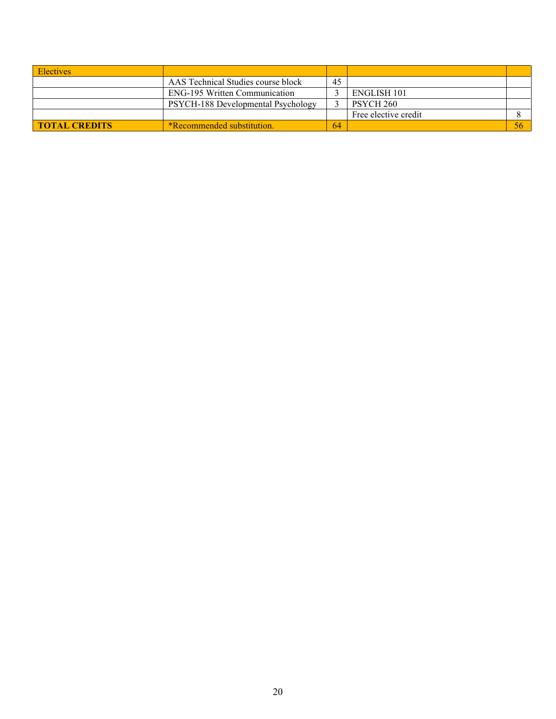| <b>Electives</b>     |                                      |    |                      |    |
|----------------------|--------------------------------------|----|----------------------|----|
|                      | AAS Technical Studies course block   | 45 |                      |    |
|                      | <b>ENG-195 Written Communication</b> |    | ENGLISH 101          |    |
|                      | PSYCH-188 Developmental Psychology   |    | PSYCH 260            |    |
|                      |                                      |    | Free elective credit |    |
| <b>TOTAL CREDITS</b> | <b>*Recommended substitution.</b>    | 64 |                      | 56 |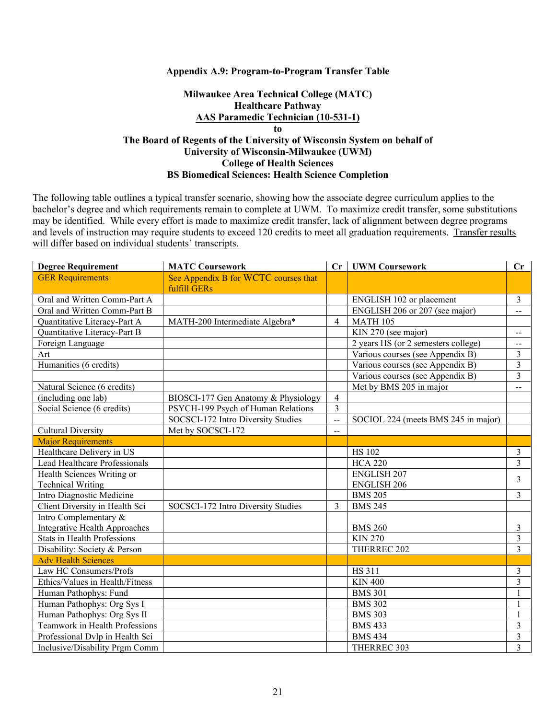#### **Appendix A.9: Program-to-Program Transfer Table**

## **Milwaukee Area Technical College (MATC) Healthcare Pathway AAS Paramedic Technician (10-531-1) to The Board of Regents of the University of Wisconsin System on behalf of University of Wisconsin-Milwaukee (UWM) College of Health Sciences BS Biomedical Sciences: Health Science Completion**

| <b>Degree Requirement</b>            | <b>MATC Coursework</b>               | Cr                       | <b>UWM Coursework</b>               | Cr                       |
|--------------------------------------|--------------------------------------|--------------------------|-------------------------------------|--------------------------|
| <b>GER Requirements</b>              | See Appendix B for WCTC courses that |                          |                                     |                          |
|                                      | fulfill GERs                         |                          |                                     |                          |
| Oral and Written Comm-Part A         |                                      |                          | ENGLISH 102 or placement            | $\mathfrak{Z}$           |
| Oral and Written Comm-Part B         |                                      |                          | ENGLISH 206 or 207 (see major)      | $\overline{a}$           |
| Quantitative Literacy-Part A         | MATH-200 Intermediate Algebra*       | $\overline{\mathcal{L}}$ | <b>MATH 105</b>                     |                          |
| Quantitative Literacy-Part B         |                                      |                          | KIN 270 (see major)                 | $\overline{\phantom{a}}$ |
| Foreign Language                     |                                      |                          | 2 years HS (or 2 semesters college) | $\overline{a}$           |
| Art                                  |                                      |                          | Various courses (see Appendix B)    | $\overline{3}$           |
| Humanities (6 credits)               |                                      |                          | Various courses (see Appendix B)    | $\mathfrak{Z}$           |
|                                      |                                      |                          | Various courses (see Appendix B)    | 3                        |
| Natural Science (6 credits)          |                                      |                          | Met by BMS 205 in major             | $\overline{\phantom{a}}$ |
| (including one lab)                  | BIOSCI-177 Gen Anatomy & Physiology  | $\overline{4}$           |                                     |                          |
| Social Science (6 credits)           | PSYCH-199 Psych of Human Relations   | $\overline{3}$           |                                     |                          |
|                                      | SOCSCI-172 Intro Diversity Studies   | $\rightarrow$            | SOCIOL 224 (meets BMS 245 in major) |                          |
| <b>Cultural Diversity</b>            | Met by SOCSCI-172                    | $-$                      |                                     |                          |
| <b>Major Requirements</b>            |                                      |                          |                                     |                          |
| Healthcare Delivery in US            |                                      |                          | <b>HS 102</b>                       | $\mathfrak{Z}$           |
| Lead Healthcare Professionals        |                                      |                          | <b>HCA 220</b>                      | 3                        |
| Health Sciences Writing or           |                                      |                          | <b>ENGLISH 207</b>                  | $\overline{3}$           |
| <b>Technical Writing</b>             |                                      |                          | <b>ENGLISH 206</b>                  |                          |
| Intro Diagnostic Medicine            |                                      |                          | <b>BMS 205</b>                      | $\overline{3}$           |
| Client Diversity in Health Sci       | SOCSCI-172 Intro Diversity Studies   | 3                        | <b>BMS 245</b>                      |                          |
| Intro Complementary &                |                                      |                          |                                     |                          |
| <b>Integrative Health Approaches</b> |                                      |                          | <b>BMS 260</b>                      | $\mathfrak{Z}$           |
| Stats in Health Professions          |                                      |                          | <b>KIN 270</b>                      | $\mathfrak{Z}$           |
| Disability: Society & Person         |                                      |                          | THERREC 202                         | $\overline{3}$           |
| <b>Adv Health Sciences</b>           |                                      |                          |                                     |                          |
| Law HC Consumers/Profs               |                                      |                          | <b>HS 311</b>                       | 3                        |
| Ethics/Values in Health/Fitness      |                                      |                          | <b>KIN 400</b>                      | $\overline{3}$           |
| Human Pathophys: Fund                |                                      |                          | <b>BMS 301</b>                      | $\overline{1}$           |
| Human Pathophys: Org Sys I           |                                      |                          | <b>BMS 302</b>                      | $\mathbf{1}$             |
| Human Pathophys: Org Sys II          |                                      |                          | <b>BMS 303</b>                      | 1                        |
| Teamwork in Health Professions       |                                      |                          | <b>BMS 433</b>                      | $\mathfrak{Z}$           |
| Professional Dvlp in Health Sci      |                                      |                          | <b>BMS 434</b>                      | $\mathfrak{Z}$           |
| Inclusive/Disability Prgm Comm       |                                      |                          | THERREC 303                         | $\overline{3}$           |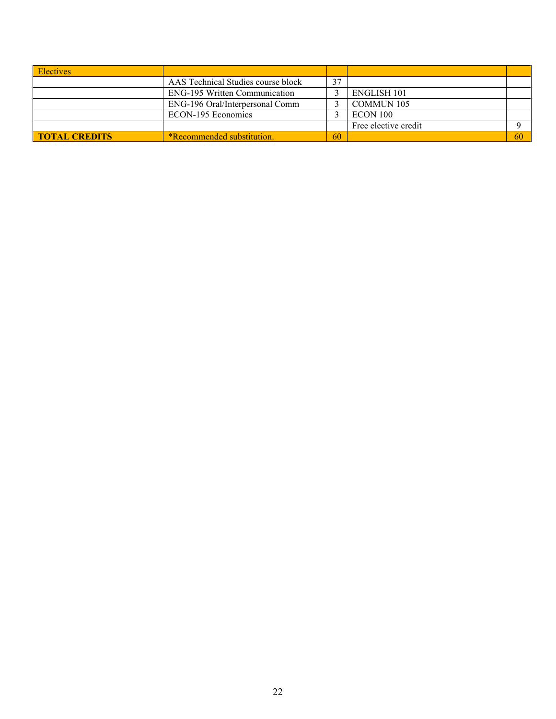| <b>Electives</b>     |                                      |    |                      |    |
|----------------------|--------------------------------------|----|----------------------|----|
|                      | AAS Technical Studies course block   | 37 |                      |    |
|                      | <b>ENG-195 Written Communication</b> |    | <b>ENGLISH 101</b>   |    |
|                      | ENG-196 Oral/Interpersonal Comm      |    | <b>COMMUN 105</b>    |    |
|                      | ECON-195 Economics                   |    | ECON 100             |    |
|                      |                                      |    | Free elective credit |    |
| <b>TOTAL CREDITS</b> | <b>*Recommended substitution.</b>    | 60 |                      | 60 |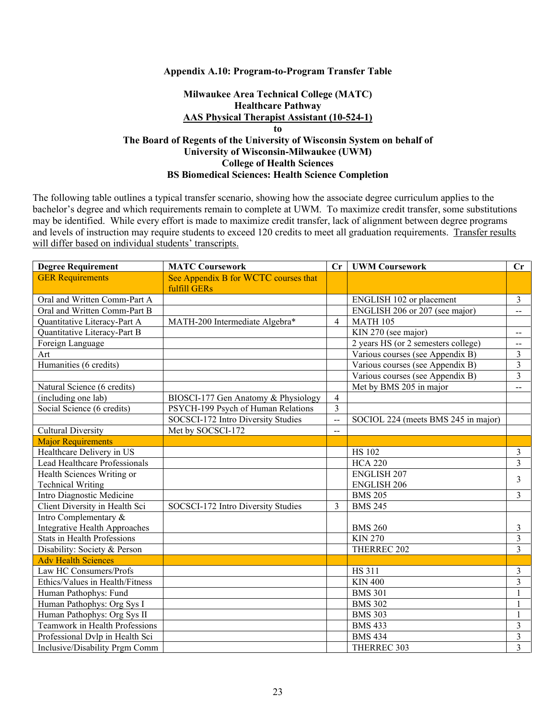### **Appendix A.10: Program-to-Program Transfer Table**

## **Milwaukee Area Technical College (MATC) Healthcare Pathway AAS Physical Therapist Assistant (10-524-1) to The Board of Regents of the University of Wisconsin System on behalf of University of Wisconsin-Milwaukee (UWM) College of Health Sciences BS Biomedical Sciences: Health Science Completion**

| <b>Degree Requirement</b>                              | <b>MATC Coursework</b>                                                    | Cr             | <b>UWM Coursework</b>               | $\mathbf{C}\mathbf{r}$                     |
|--------------------------------------------------------|---------------------------------------------------------------------------|----------------|-------------------------------------|--------------------------------------------|
| <b>GER Requirements</b>                                | See Appendix B for WCTC courses that<br>fulfill GERs                      |                |                                     |                                            |
| Oral and Written Comm-Part A                           |                                                                           |                | ENGLISH 102 or placement            | 3                                          |
| Oral and Written Comm-Part B                           |                                                                           |                | ENGLISH 206 or 207 (see major)      |                                            |
| Quantitative Literacy-Part A                           | MATH-200 Intermediate Algebra*                                            | $\overline{4}$ | <b>MATH 105</b>                     |                                            |
| Quantitative Literacy-Part B                           |                                                                           |                | KIN 270 (see major)                 |                                            |
| Foreign Language                                       |                                                                           |                | 2 years HS (or 2 semesters college) | $\overline{\phantom{m}}$<br>$\overline{a}$ |
| Art                                                    |                                                                           |                | Various courses (see Appendix B)    | $\mathfrak{Z}$                             |
| Humanities (6 credits)                                 |                                                                           |                | Various courses (see Appendix B)    | 3                                          |
|                                                        |                                                                           |                | Various courses (see Appendix B)    | $\mathfrak{Z}$                             |
| Natural Science (6 credits)                            |                                                                           |                |                                     |                                            |
| (including one lab)                                    |                                                                           | $\overline{4}$ | Met by BMS 205 in major             | $\overline{\phantom{a}}$                   |
|                                                        | BIOSCI-177 Gen Anatomy & Physiology<br>PSYCH-199 Psych of Human Relations | 3              |                                     |                                            |
| Social Science (6 credits)                             | SOCSCI-172 Intro Diversity Studies                                        |                |                                     |                                            |
|                                                        |                                                                           | $\overline{a}$ | SOCIOL 224 (meets BMS 245 in major) |                                            |
| <b>Cultural Diversity</b>                              | Met by SOCSCI-172                                                         | $-$            |                                     |                                            |
| <b>Major Requirements</b><br>Healthcare Delivery in US |                                                                           |                |                                     |                                            |
| Lead Healthcare Professionals                          |                                                                           |                | <b>HS 102</b>                       | $\mathfrak{Z}$<br>$\overline{3}$           |
|                                                        |                                                                           |                | <b>HCA 220</b>                      |                                            |
| Health Sciences Writing or                             |                                                                           |                | <b>ENGLISH 207</b>                  | 3                                          |
| <b>Technical Writing</b>                               |                                                                           |                | <b>ENGLISH 206</b>                  |                                            |
| Intro Diagnostic Medicine                              |                                                                           |                | <b>BMS 205</b>                      | $\overline{3}$                             |
| Client Diversity in Health Sci                         | SOCSCI-172 Intro Diversity Studies                                        | $\mathcal{E}$  | <b>BMS 245</b>                      |                                            |
| Intro Complementary &                                  |                                                                           |                |                                     |                                            |
| Integrative Health Approaches                          |                                                                           |                | <b>BMS 260</b>                      | $\mathfrak{Z}$                             |
| <b>Stats in Health Professions</b>                     |                                                                           |                | <b>KIN 270</b>                      | $\overline{3}$                             |
| Disability: Society & Person                           |                                                                           |                | THERREC 202                         | $\overline{3}$                             |
| <b>Adv Health Sciences</b>                             |                                                                           |                |                                     |                                            |
| Law HC Consumers/Profs                                 |                                                                           |                | HS 311                              | 3                                          |
| Ethics/Values in Health/Fitness                        |                                                                           |                | <b>KIN 400</b>                      | $\overline{\mathbf{3}}$                    |
| Human Pathophys: Fund                                  |                                                                           |                | <b>BMS 301</b>                      | 1                                          |
| Human Pathophys: Org Sys I                             |                                                                           |                | <b>BMS 302</b>                      | 1                                          |
| Human Pathophys: Org Sys II                            |                                                                           |                | <b>BMS 303</b>                      | 1                                          |
| Teamwork in Health Professions                         |                                                                           |                | <b>BMS 433</b>                      | $\mathfrak{Z}$                             |
| Professional Dvlp in Health Sci                        |                                                                           |                | <b>BMS 434</b>                      | $\mathfrak{Z}$                             |
| Inclusive/Disability Prgm Comm                         |                                                                           |                | THERREC 303                         | $\overline{3}$                             |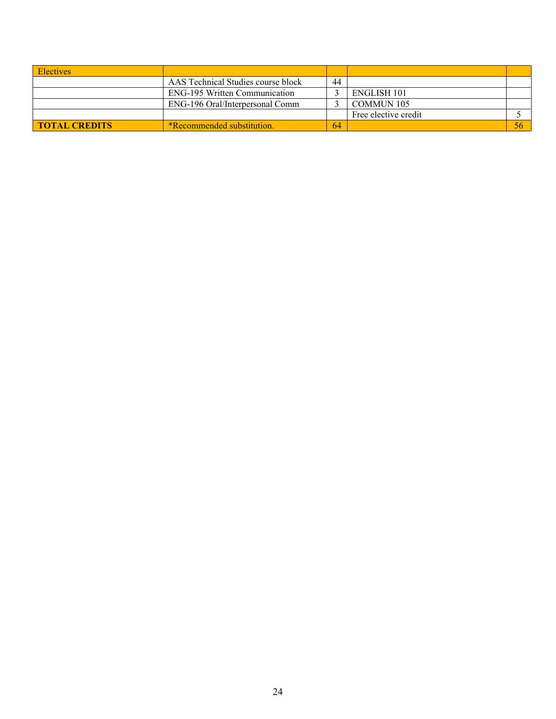| <b>Electives</b>     |                                      |    |                      |    |
|----------------------|--------------------------------------|----|----------------------|----|
|                      | AAS Technical Studies course block   | 44 |                      |    |
|                      | <b>ENG-195 Written Communication</b> |    | <b>ENGLISH 101</b>   |    |
|                      | ENG-196 Oral/Interpersonal Comm      |    | <b>COMMUN 105</b>    |    |
|                      |                                      |    | Free elective credit |    |
| <b>TOTAL CREDITS</b> | <b>*Recommended substitution.</b>    | 64 |                      | 56 |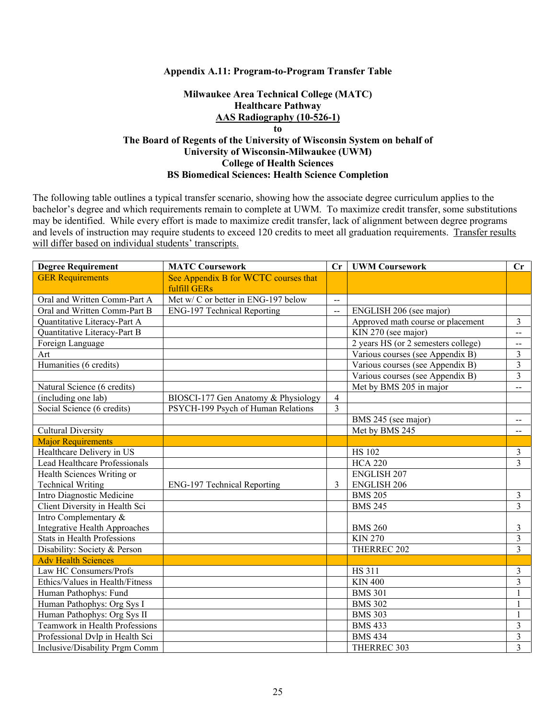#### **Appendix A.11: Program-to-Program Transfer Table**

### **Milwaukee Area Technical College (MATC) Healthcare Pathway AAS Radiography (10-526-1) to**

## **The Board of Regents of the University of Wisconsin System on behalf of University of Wisconsin-Milwaukee (UWM) College of Health Sciences BS Biomedical Sciences: Health Science Completion**

| <b>Degree Requirement</b>          | <b>MATC Coursework</b>               | Cr             | <b>UWM Coursework</b>               | Cr                          |
|------------------------------------|--------------------------------------|----------------|-------------------------------------|-----------------------------|
| <b>GER Requirements</b>            | See Appendix B for WCTC courses that |                |                                     |                             |
|                                    | fulfill GERs                         |                |                                     |                             |
| Oral and Written Comm-Part A       | Met w/ C or better in ENG-197 below  | $\overline{a}$ |                                     |                             |
| Oral and Written Comm-Part B       | <b>ENG-197 Technical Reporting</b>   | $\overline{a}$ | ENGLISH 206 (see major)             |                             |
| Quantitative Literacy-Part A       |                                      |                | Approved math course or placement   | $\overline{3}$              |
| Quantitative Literacy-Part B       |                                      |                | KIN 270 (see major)                 | $\overline{a}$              |
| Foreign Language                   |                                      |                | 2 years HS (or 2 semesters college) | $\mathcal{L}_{\mathcal{F}}$ |
| Art                                |                                      |                | Various courses (see Appendix B)    | 3                           |
| Humanities (6 credits)             |                                      |                | Various courses (see Appendix B)    | 3                           |
|                                    |                                      |                | Various courses (see Appendix B)    | $\overline{3}$              |
| Natural Science (6 credits)        |                                      |                | Met by BMS 205 in major             | $-$                         |
| (including one lab)                | BIOSCI-177 Gen Anatomy & Physiology  | $\overline{4}$ |                                     |                             |
| Social Science (6 credits)         | PSYCH-199 Psych of Human Relations   | $\overline{3}$ |                                     |                             |
|                                    |                                      |                | BMS 245 (see major)                 | $\mathbf{--}$               |
| <b>Cultural Diversity</b>          |                                      |                | Met by BMS 245                      | $\overline{\phantom{a}}$    |
| <b>Major Requirements</b>          |                                      |                |                                     |                             |
| Healthcare Delivery in US          |                                      |                | <b>HS 102</b>                       | $\mathfrak{Z}$              |
| Lead Healthcare Professionals      |                                      |                | <b>HCA 220</b>                      | $\overline{3}$              |
| Health Sciences Writing or         |                                      |                | <b>ENGLISH 207</b>                  |                             |
| <b>Technical Writing</b>           | ENG-197 Technical Reporting          | 3              | <b>ENGLISH 206</b>                  |                             |
| Intro Diagnostic Medicine          |                                      |                | <b>BMS 205</b>                      | 3                           |
| Client Diversity in Health Sci     |                                      |                | <b>BMS 245</b>                      | $\overline{3}$              |
| Intro Complementary &              |                                      |                |                                     |                             |
| Integrative Health Approaches      |                                      |                | <b>BMS 260</b>                      | 3                           |
| <b>Stats in Health Professions</b> |                                      |                | <b>KIN 270</b>                      | 3                           |
| Disability: Society & Person       |                                      |                | THERREC 202                         | $\overline{3}$              |
| <b>Adv Health Sciences</b>         |                                      |                |                                     |                             |
| Law HC Consumers/Profs             |                                      |                | <b>HS 311</b>                       | 3                           |
| Ethics/Values in Health/Fitness    |                                      |                | <b>KIN 400</b>                      | 3                           |
| Human Pathophys: Fund              |                                      |                | <b>BMS 301</b>                      | 1                           |
| Human Pathophys: Org Sys I         |                                      |                | <b>BMS 302</b>                      | $\mathbf{1}$                |
| Human Pathophys: Org Sys II        |                                      |                | <b>BMS 303</b>                      | $\mathbf{1}$                |
| Teamwork in Health Professions     |                                      |                | <b>BMS 433</b>                      | 3                           |
| Professional Dvlp in Health Sci    |                                      |                | <b>BMS 434</b>                      | 3                           |
| Inclusive/Disability Prgm Comm     |                                      |                | THERREC 303                         | $\overline{3}$              |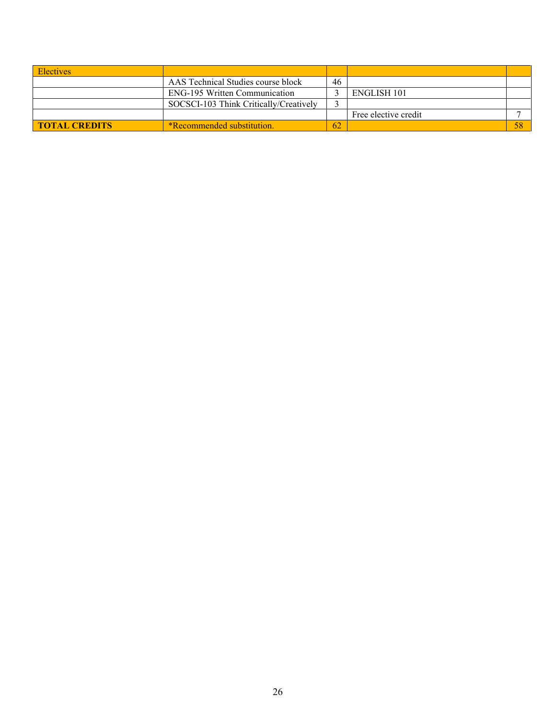| <b>Electives</b>     |                                        |    |                      |  |
|----------------------|----------------------------------------|----|----------------------|--|
|                      | AAS Technical Studies course block     | 46 |                      |  |
|                      | ENG-195 Written Communication          |    | ENGLISH 101          |  |
|                      | SOCSCI-103 Think Critically/Creatively |    |                      |  |
|                      |                                        |    | Free elective credit |  |
| <b>TOTAL CREDITS</b> | <b>*Recommended substitution.</b>      | 62 |                      |  |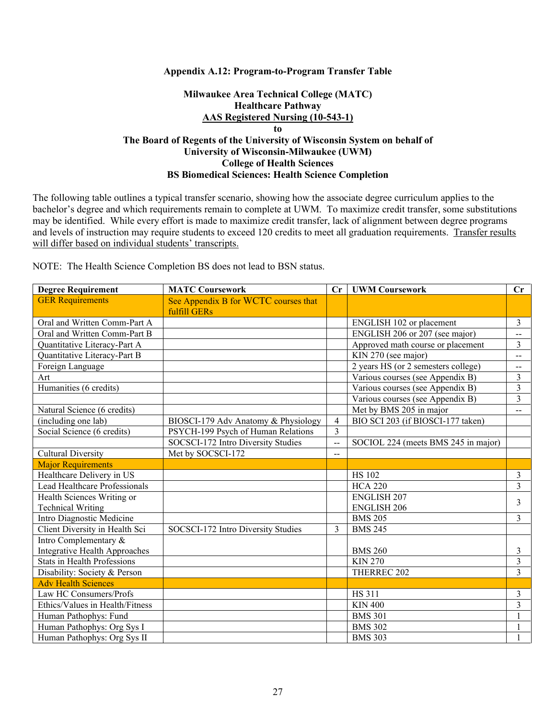### **Appendix A.12: Program-to-Program Transfer Table**

## **Milwaukee Area Technical College (MATC) Healthcare Pathway AAS Registered Nursing (10-543-1) to The Board of Regents of the University of Wisconsin System on behalf of University of Wisconsin-Milwaukee (UWM) College of Health Sciences BS Biomedical Sciences: Health Science Completion**

The following table outlines a typical transfer scenario, showing how the associate degree curriculum applies to the bachelor's degree and which requirements remain to complete at UWM. To maximize credit transfer, some substitutions may be identified. While every effort is made to maximize credit transfer, lack of alignment between degree programs and levels of instruction may require students to exceed 120 credits to meet all graduation requirements. Transfer results will differ based on individual students' transcripts.

NOTE: The Health Science Completion BS does not lead to BSN status.

| <b>Degree Requirement</b>           | <b>MATC Coursework</b>               | $\mathbf{C}$ r | <b>UWM Coursework</b>               | $\mathbf{C}$ r              |
|-------------------------------------|--------------------------------------|----------------|-------------------------------------|-----------------------------|
| <b>GER Requirements</b>             | See Appendix B for WCTC courses that |                |                                     |                             |
|                                     | fulfill GERs                         |                |                                     |                             |
| Oral and Written Comm-Part A        |                                      |                | ENGLISH 102 or placement            | 3                           |
| Oral and Written Comm-Part B        |                                      |                | ENGLISH 206 or 207 (see major)      | $\overline{\phantom{a}}$    |
| Quantitative Literacy-Part A        |                                      |                | Approved math course or placement   | $\overline{3}$              |
| <b>Ouantitative Literacy-Part B</b> |                                      |                | KIN 270 (see major)                 | $-$                         |
| Foreign Language                    |                                      |                | 2 years HS (or 2 semesters college) | $\mathcal{L}_{\mathcal{F}}$ |
| Art                                 |                                      |                | Various courses (see Appendix B)    | 3                           |
| Humanities (6 credits)              |                                      |                | Various courses (see Appendix B)    | 3                           |
|                                     |                                      |                | Various courses (see Appendix B)    | 3                           |
| Natural Science (6 credits)         |                                      |                | Met by BMS 205 in major             | $- -$                       |
| (including one lab)                 | BIOSCI-179 Adv Anatomy & Physiology  | $\overline{4}$ | BIO SCI 203 (if BIOSCI-177 taken)   |                             |
| Social Science (6 credits)          | PSYCH-199 Psych of Human Relations   | 3              |                                     |                             |
|                                     | SOCSCI-172 Intro Diversity Studies   | $-$            | SOCIOL 224 (meets BMS 245 in major) |                             |
| <b>Cultural Diversity</b>           | Met by SOCSCI-172                    | $\overline{a}$ |                                     |                             |
| <b>Major Requirements</b>           |                                      |                |                                     |                             |
| Healthcare Delivery in US           |                                      |                | <b>HS 102</b>                       | 3                           |
| Lead Healthcare Professionals       |                                      |                | <b>HCA 220</b>                      | 3                           |
| Health Sciences Writing or          |                                      |                | <b>ENGLISH 207</b>                  | 3                           |
| <b>Technical Writing</b>            |                                      |                | <b>ENGLISH 206</b>                  |                             |
| Intro Diagnostic Medicine           |                                      |                | <b>BMS 205</b>                      | $\overline{3}$              |
| Client Diversity in Health Sci      | SOCSCI-172 Intro Diversity Studies   | 3              | <b>BMS 245</b>                      |                             |
| Intro Complementary &               |                                      |                |                                     |                             |
| Integrative Health Approaches       |                                      |                | <b>BMS 260</b>                      | 3                           |
| <b>Stats in Health Professions</b>  |                                      |                | <b>KIN 270</b>                      | $\overline{\mathbf{3}}$     |
| Disability: Society & Person        |                                      |                | THERREC 202                         | 3                           |
| <b>Adv Health Sciences</b>          |                                      |                |                                     |                             |
| Law HC Consumers/Profs              |                                      |                | <b>HS 311</b>                       | 3                           |
| Ethics/Values in Health/Fitness     |                                      |                | <b>KIN 400</b>                      | $\overline{3}$              |
| Human Pathophys: Fund               |                                      |                | <b>BMS 301</b>                      |                             |
| Human Pathophys: Org Sys I          |                                      |                | <b>BMS 302</b>                      |                             |
| Human Pathophys: Org Sys II         |                                      |                | <b>BMS 303</b>                      |                             |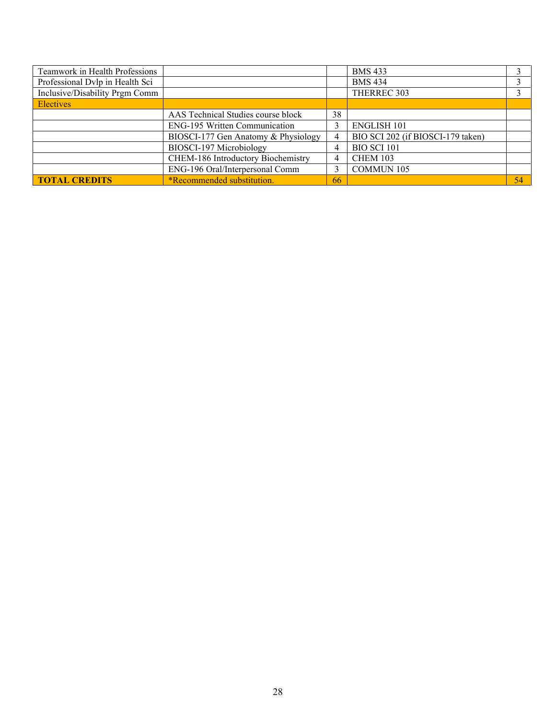| Teamwork in Health Professions  |                                      |    | <b>BMS 433</b>                    |    |
|---------------------------------|--------------------------------------|----|-----------------------------------|----|
| Professional Dvlp in Health Sci |                                      |    | <b>BMS 434</b>                    |    |
| Inclusive/Disability Prgm Comm  |                                      |    | THERREC 303                       |    |
| <b>Electives</b>                |                                      |    |                                   |    |
|                                 | AAS Technical Studies course block   | 38 |                                   |    |
|                                 | <b>ENG-195 Written Communication</b> |    | <b>ENGLISH 101</b>                |    |
|                                 | BIOSCI-177 Gen Anatomy & Physiology  | 4  | BIO SCI 202 (if BIOSCI-179 taken) |    |
|                                 | BIOSCI-197 Microbiology              | 4  | <b>BIO SCI 101</b>                |    |
|                                 | CHEM-186 Introductory Biochemistry   | 4  | <b>CHEM 103</b>                   |    |
|                                 | ENG-196 Oral/Interpersonal Comm      |    | <b>COMMUN 105</b>                 |    |
| <b>TOTAL CREDITS</b>            | *Recommended substitution.           | 66 |                                   | 54 |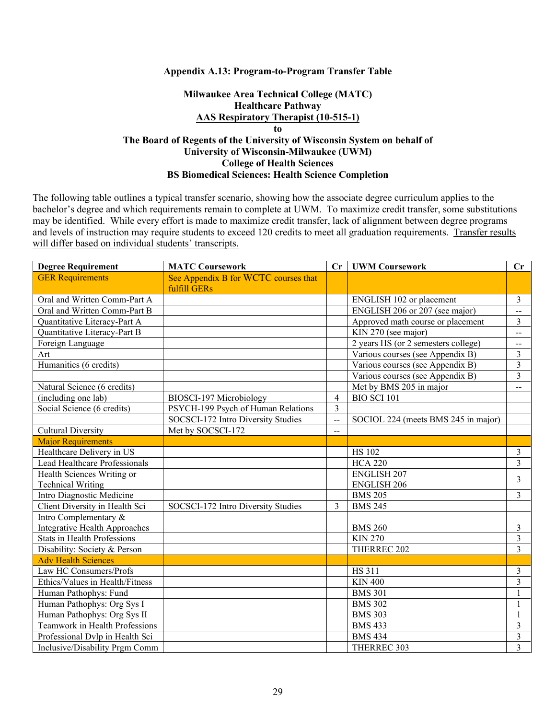#### **Appendix A.13: Program-to-Program Transfer Table**

## **Milwaukee Area Technical College (MATC) Healthcare Pathway AAS Respiratory Therapist (10-515-1) to The Board of Regents of the University of Wisconsin System on behalf of University of Wisconsin-Milwaukee (UWM) College of Health Sciences BS Biomedical Sciences: Health Science Completion**

| <b>Degree Requirement</b>            | <b>MATC Coursework</b>               |                | <b>UWM Coursework</b>               |                          |
|--------------------------------------|--------------------------------------|----------------|-------------------------------------|--------------------------|
| <b>GER Requirements</b>              | See Appendix B for WCTC courses that |                |                                     |                          |
|                                      | fulfill GERs                         |                |                                     |                          |
| Oral and Written Comm-Part A         |                                      |                | ENGLISH 102 or placement            | $\mathfrak{Z}$           |
| Oral and Written Comm-Part B         |                                      |                | ENGLISH 206 or 207 (see major)      | $\overline{\phantom{a}}$ |
| Quantitative Literacy-Part A         |                                      |                | Approved math course or placement   | 3                        |
| Quantitative Literacy-Part B         |                                      |                | KIN 270 (see major)                 | $\overline{\phantom{a}}$ |
| Foreign Language                     |                                      |                | 2 years HS (or 2 semesters college) | $\overline{\phantom{a}}$ |
| Art                                  |                                      |                | Various courses (see Appendix B)    | $\overline{3}$           |
| Humanities (6 credits)               |                                      |                | Various courses (see Appendix B)    | $\overline{3}$           |
|                                      |                                      |                | Various courses (see Appendix B)    | $\overline{\mathbf{3}}$  |
| Natural Science (6 credits)          |                                      |                | Met by BMS 205 in major             | $\overline{\phantom{a}}$ |
| (including one lab)                  | BIOSCI-197 Microbiology              | $\overline{4}$ | <b>BIO SCI 101</b>                  |                          |
| Social Science (6 credits)           | PSYCH-199 Psych of Human Relations   | $\overline{3}$ |                                     |                          |
|                                      | SOCSCI-172 Intro Diversity Studies   | $\rightarrow$  | SOCIOL 224 (meets BMS 245 in major) |                          |
| <b>Cultural Diversity</b>            | Met by SOCSCI-172                    | $-$            |                                     |                          |
| <b>Major Requirements</b>            |                                      |                |                                     |                          |
| Healthcare Delivery in US            |                                      |                | <b>HS 102</b>                       | $\mathfrak{Z}$           |
| Lead Healthcare Professionals        |                                      |                | <b>HCA 220</b>                      | $\overline{3}$           |
| Health Sciences Writing or           |                                      |                | <b>ENGLISH 207</b>                  | 3                        |
| <b>Technical Writing</b>             |                                      |                | <b>ENGLISH 206</b>                  |                          |
| Intro Diagnostic Medicine            |                                      |                | <b>BMS 205</b>                      | $\overline{3}$           |
| Client Diversity in Health Sci       | SOCSCI-172 Intro Diversity Studies   | 3              | <b>BMS 245</b>                      |                          |
| Intro Complementary &                |                                      |                |                                     |                          |
| <b>Integrative Health Approaches</b> |                                      |                | <b>BMS 260</b>                      | 3                        |
| <b>Stats in Health Professions</b>   |                                      |                | <b>KIN 270</b>                      | $\overline{3}$           |
| Disability: Society & Person         |                                      |                | THERREC 202                         | $\overline{3}$           |
| <b>Adv Health Sciences</b>           |                                      |                |                                     |                          |
| Law HC Consumers/Profs               |                                      |                | <b>HS 311</b>                       | 3                        |
| Ethics/Values in Health/Fitness      |                                      |                | <b>KIN 400</b>                      | $\overline{\mathbf{3}}$  |
| Human Pathophys: Fund                |                                      |                | <b>BMS 301</b>                      | 1                        |
| Human Pathophys: Org Sys I           |                                      |                | <b>BMS 302</b>                      | $\mathbf{1}$             |
| Human Pathophys: Org Sys II          |                                      |                | <b>BMS 303</b>                      | $\mathbf{1}$             |
| Teamwork in Health Professions       |                                      |                | <b>BMS 433</b>                      | $\mathfrak{Z}$           |
| Professional Dvlp in Health Sci      |                                      |                | <b>BMS 434</b>                      | $\mathfrak{Z}$           |
| Inclusive/Disability Prgm Comm       |                                      |                | THERREC 303                         | $\overline{3}$           |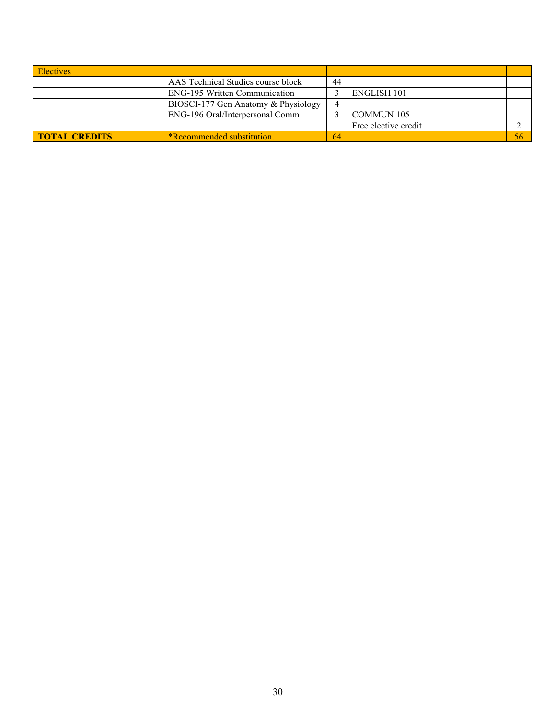| <b>Electives</b>     |                                          |    |                      |  |
|----------------------|------------------------------------------|----|----------------------|--|
|                      | AAS Technical Studies course block<br>44 |    |                      |  |
|                      | <b>ENG-195 Written Communication</b>     |    | <b>ENGLISH 101</b>   |  |
|                      | BIOSCI-177 Gen Anatomy & Physiology      | 4  |                      |  |
|                      | ENG-196 Oral/Interpersonal Comm          |    | <b>COMMUN 105</b>    |  |
|                      |                                          |    | Free elective credit |  |
| <b>TOTAL CREDITS</b> | <b>*Recommended substitution.</b>        | 64 |                      |  |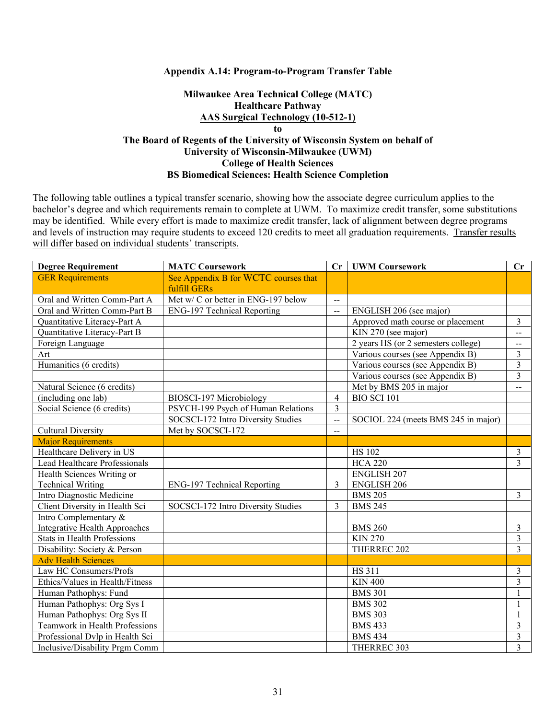#### **Appendix A.14: Program-to-Program Transfer Table**

## **Milwaukee Area Technical College (MATC) Healthcare Pathway AAS Surgical Technology (10-512-1) to The Board of Regents of the University of Wisconsin System on behalf of University of Wisconsin-Milwaukee (UWM) College of Health Sciences BS Biomedical Sciences: Health Science Completion**

| <b>Degree Requirement</b>          | <b>MATC Coursework</b>                               |                          | Cr<br><b>UWM Coursework</b>         | Cr                       |
|------------------------------------|------------------------------------------------------|--------------------------|-------------------------------------|--------------------------|
| <b>GER Requirements</b>            | See Appendix B for WCTC courses that<br>fulfill GERs |                          |                                     |                          |
| Oral and Written Comm-Part A       | Met w/ C or better in ENG-197 below                  |                          |                                     |                          |
| Oral and Written Comm-Part B       | <b>ENG-197 Technical Reporting</b>                   | $\sim$<br>$\overline{a}$ | ENGLISH 206 (see major)             |                          |
| Quantitative Literacy-Part A       |                                                      |                          | Approved math course or placement   | $\mathfrak{Z}$           |
| Quantitative Literacy-Part B       |                                                      |                          | KIN 270 (see major)                 | $\overline{a}$           |
| Foreign Language                   |                                                      |                          | 2 years HS (or 2 semesters college) | $\overline{\phantom{m}}$ |
| Art                                |                                                      |                          | Various courses (see Appendix B)    | $\overline{3}$           |
| Humanities (6 credits)             |                                                      |                          | Various courses (see Appendix B)    | $\overline{3}$           |
|                                    |                                                      |                          | Various courses (see Appendix B)    | 3                        |
| Natural Science (6 credits)        |                                                      |                          | Met by BMS 205 in major             | $\overline{\phantom{m}}$ |
| (including one lab)                | BIOSCI-197 Microbiology                              | $\overline{4}$           | <b>BIO SCI 101</b>                  |                          |
| Social Science (6 credits)         | PSYCH-199 Psych of Human Relations                   | $\overline{3}$           |                                     |                          |
|                                    | SOCSCI-172 Intro Diversity Studies                   | $\rightarrow$            | SOCIOL 224 (meets BMS 245 in major) |                          |
| <b>Cultural Diversity</b>          | Met by SOCSCI-172                                    | $\overline{a}$           |                                     |                          |
| <b>Major Requirements</b>          |                                                      |                          |                                     |                          |
| Healthcare Delivery in US          |                                                      |                          | <b>HS 102</b>                       | $\mathfrak{Z}$           |
| Lead Healthcare Professionals      |                                                      |                          | <b>HCA 220</b>                      | $\overline{3}$           |
| Health Sciences Writing or         |                                                      |                          | <b>ENGLISH 207</b>                  |                          |
| <b>Technical Writing</b>           | <b>ENG-197 Technical Reporting</b>                   | 3                        | <b>ENGLISH 206</b>                  |                          |
| Intro Diagnostic Medicine          |                                                      |                          | <b>BMS 205</b>                      | $\overline{3}$           |
| Client Diversity in Health Sci     | SOCSCI-172 Intro Diversity Studies                   | $\mathcal{E}$            | <b>BMS 245</b>                      |                          |
| Intro Complementary &              |                                                      |                          |                                     |                          |
| Integrative Health Approaches      |                                                      |                          | <b>BMS 260</b>                      | $\mathfrak{Z}$           |
| <b>Stats in Health Professions</b> |                                                      |                          | <b>KIN 270</b>                      | $\overline{3}$           |
| Disability: Society & Person       |                                                      |                          | THERREC 202                         | $\overline{3}$           |
| <b>Adv Health Sciences</b>         |                                                      |                          |                                     |                          |
| Law HC Consumers/Profs             |                                                      |                          | <b>HS 311</b>                       | $\mathfrak{Z}$           |
| Ethics/Values in Health/Fitness    |                                                      |                          | <b>KIN 400</b>                      | $\overline{\mathbf{3}}$  |
| Human Pathophys: Fund              |                                                      |                          | <b>BMS 301</b>                      | 1                        |
| Human Pathophys: Org Sys I         |                                                      |                          | <b>BMS 302</b>                      | 1                        |
| Human Pathophys: Org Sys II        |                                                      |                          | <b>BMS 303</b>                      | $\mathbf{1}$             |
| Teamwork in Health Professions     |                                                      |                          | <b>BMS 433</b>                      | $\mathfrak{Z}$           |
| Professional Dvlp in Health Sci    |                                                      |                          | <b>BMS 434</b>                      | 3                        |
| Inclusive/Disability Prgm Comm     |                                                      |                          | THERREC 303                         | $\overline{3}$           |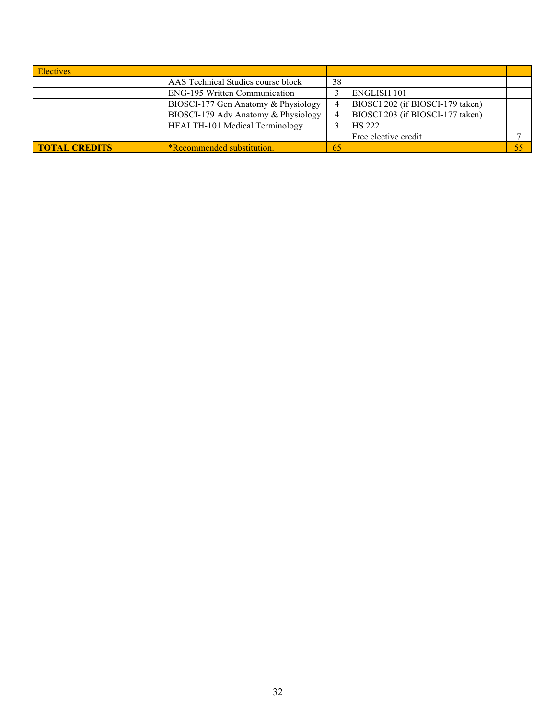| <b>Electives</b>     |                                          |    |                                  |    |
|----------------------|------------------------------------------|----|----------------------------------|----|
|                      | AAS Technical Studies course block<br>38 |    |                                  |    |
|                      | <b>ENG-195 Written Communication</b>     |    | <b>ENGLISH 101</b>               |    |
|                      | BIOSCI-177 Gen Anatomy & Physiology      |    | BIOSCI 202 (if BIOSCI-179 taken) |    |
|                      | BIOSCI-179 Adv Anatomy & Physiology      |    | BIOSCI 203 (if BIOSCI-177 taken) |    |
|                      | HEALTH-101 Medical Terminology           |    | <b>HS 222</b>                    |    |
|                      |                                          |    | Free elective credit             |    |
| <b>TOTAL CREDITS</b> | *Recommended substitution.               | 65 |                                  | 55 |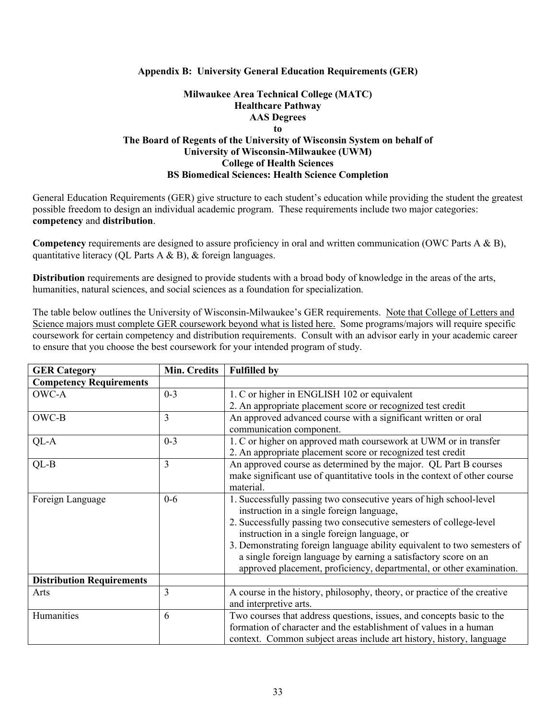### **Appendix B: University General Education Requirements (GER)**

## **Milwaukee Area Technical College (MATC) Healthcare Pathway AAS Degrees to The Board of Regents of the University of Wisconsin System on behalf of University of Wisconsin-Milwaukee (UWM) College of Health Sciences**

#### **BS Biomedical Sciences: Health Science Completion**

General Education Requirements (GER) give structure to each student's education while providing the student the greatest possible freedom to design an individual academic program. These requirements include two major categories: **competency** and **distribution**.

**Competency** requirements are designed to assure proficiency in oral and written communication (OWC Parts A & B), quantitative literacy (QL Parts A & B), & foreign languages.

**Distribution** requirements are designed to provide students with a broad body of knowledge in the areas of the arts, humanities, natural sciences, and social sciences as a foundation for specialization.

The table below outlines the University of Wisconsin-Milwaukee's GER requirements. Note that College of Letters and Science majors must complete GER coursework beyond what is listed here. Some programs/majors will require specific coursework for certain competency and distribution requirements. Consult with an advisor early in your academic career to ensure that you choose the best coursework for your intended program of study.

| <b>GER Category</b>              | Min. Credits   | <b>Fulfilled by</b>                                                       |
|----------------------------------|----------------|---------------------------------------------------------------------------|
| <b>Competency Requirements</b>   |                |                                                                           |
| OWC-A                            | $0 - 3$        | 1. C or higher in ENGLISH 102 or equivalent                               |
|                                  |                | 2. An appropriate placement score or recognized test credit               |
| OWC-B                            | $\overline{3}$ | An approved advanced course with a significant written or oral            |
|                                  |                | communication component.                                                  |
| QL-A                             | $0 - 3$        | 1. C or higher on approved math coursework at UWM or in transfer          |
|                                  |                | 2. An appropriate placement score or recognized test credit               |
| $QL-B$                           | $\overline{3}$ | An approved course as determined by the major. QL Part B courses          |
|                                  |                | make significant use of quantitative tools in the context of other course |
|                                  |                | material.                                                                 |
| Foreign Language                 | $0-6$          | 1. Successfully passing two consecutive years of high school-level        |
|                                  |                | instruction in a single foreign language,                                 |
|                                  |                | 2. Successfully passing two consecutive semesters of college-level        |
|                                  |                | instruction in a single foreign language, or                              |
|                                  |                | 3. Demonstrating foreign language ability equivalent to two semesters of  |
|                                  |                | a single foreign language by earning a satisfactory score on an           |
|                                  |                | approved placement, proficiency, departmental, or other examination.      |
| <b>Distribution Requirements</b> |                |                                                                           |
| Arts                             | 3              | A course in the history, philosophy, theory, or practice of the creative  |
|                                  |                | and interpretive arts.                                                    |
| Humanities                       | 6              | Two courses that address questions, issues, and concepts basic to the     |
|                                  |                | formation of character and the establishment of values in a human         |
|                                  |                | context. Common subject areas include art history, history, language      |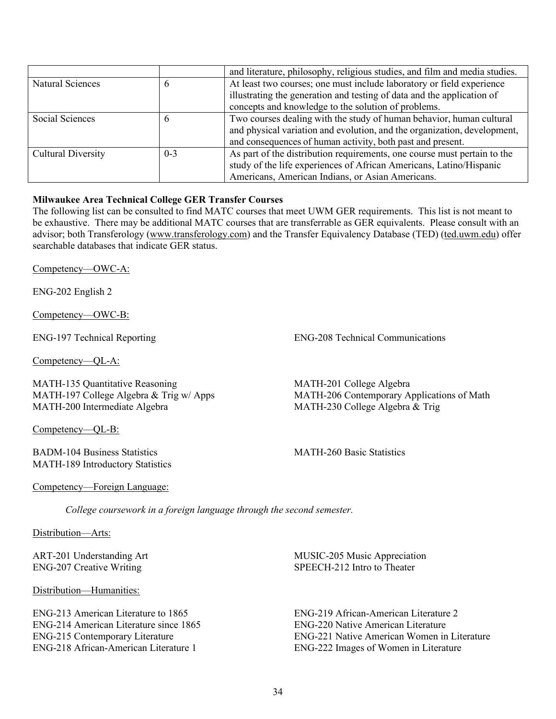|                           |         | and literature, philosophy, religious studies, and film and media studies. |
|---------------------------|---------|----------------------------------------------------------------------------|
| Natural Sciences          |         | At least two courses; one must include laboratory or field experience      |
|                           |         | illustrating the generation and testing of data and the application of     |
|                           |         | concepts and knowledge to the solution of problems.                        |
| Social Sciences           |         | Two courses dealing with the study of human behavior, human cultural       |
|                           |         | and physical variation and evolution, and the organization, development,   |
|                           |         | and consequences of human activity, both past and present.                 |
| <b>Cultural Diversity</b> | $0 - 3$ | As part of the distribution requirements, one course must pertain to the   |
|                           |         | study of the life experiences of African Americans, Latino/Hispanic        |
|                           |         | Americans, American Indians, or Asian Americans.                           |

## **Milwaukee Area Technical College GER Transfer Courses**

The following list can be consulted to find MATC courses that meet UWM GER requirements. This list is not meant to be exhaustive. There may be additional MATC courses that are transferrable as GER equivalents. Please consult with an advisor; both Transferology (www.transferology.com) and the Transfer Equivalency Database (TED) (ted.uwm.edu) offer searchable databases that indicate GER status.

Competency—OWC-A:

ENG-202 English 2

Competency—OWC-B:

Competency—QL-A:

MATH-135 Quantitative Reasoning MATH-197 College Algebra & Trig w/ Apps MATH-200 Intermediate Algebra

Competency—QL-B:

BADM-104 Business Statistics MATH-189 Introductory Statistics

ENG-197 Technical Reporting ENG-208 Technical Communications

MATH-201 College Algebra MATH-206 Contemporary Applications of Math MATH-230 College Algebra & Trig

MATH-260 Basic Statistics

#### Competency—Foreign Language:

*College coursework in a foreign language through the second semester.*

Distribution—Arts:

ART-201 Understanding Art ENG-207 Creative Writing

Distribution—Humanities:

ENG-213 American Literature to 1865 ENG-214 American Literature since 1865 ENG-215 Contemporary Literature ENG-218 African-American Literature 1

MUSIC-205 Music Appreciation SPEECH-212 Intro to Theater

ENG-219 African-American Literature 2 ENG-220 Native American Literature ENG-221 Native American Women in Literature ENG-222 Images of Women in Literature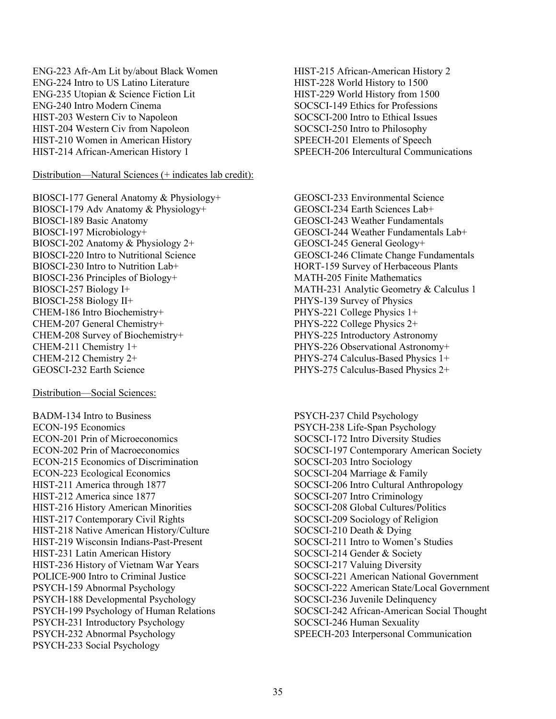ENG-223 Afr-Am Lit by/about Black Women ENG-224 Intro to US Latino Literature ENG-235 Utopian & Science Fiction Lit ENG-240 Intro Modern Cinema HIST-203 Western Civ to Napoleon HIST-204 Western Civ from Napoleon HIST-210 Women in American History HIST-214 African-American History 1

### Distribution—Natural Sciences (+ indicates lab credit):

BIOSCI-177 General Anatomy & Physiology+ BIOSCI-179 Adv Anatomy & Physiology+ BIOSCI-189 Basic Anatomy BIOSCI-197 Microbiology+ BIOSCI-202 Anatomy & Physiology 2+ BIOSCI-220 Intro to Nutritional Science BIOSCI-230 Intro to Nutrition Lab+ BIOSCI-236 Principles of Biology+ BIOSCI-257 Biology I+ BIOSCI-258 Biology II+ CHEM-186 Intro Biochemistry+ CHEM-207 General Chemistry+ CHEM-208 Survey of Biochemistry+ CHEM-211 Chemistry 1+ CHEM-212 Chemistry 2+ GEOSCI-232 Earth Science

#### Distribution—Social Sciences:

BADM-134 Intro to Business ECON-195 Economics ECON-201 Prin of Microeconomics ECON-202 Prin of Macroeconomics ECON-215 Economics of Discrimination ECON-223 Ecological Economics HIST-211 America through 1877 HIST-212 America since 1877 HIST-216 History American Minorities HIST-217 Contemporary Civil Rights HIST-218 Native American History/Culture HIST-219 Wisconsin Indians-Past-Present HIST-231 Latin American History HIST-236 History of Vietnam War Years POLICE-900 Intro to Criminal Justice PSYCH-159 Abnormal Psychology PSYCH-188 Developmental Psychology PSYCH-199 Psychology of Human Relations PSYCH-231 Introductory Psychology PSYCH-232 Abnormal Psychology PSYCH-233 Social Psychology

HIST-215 African-American History 2 HIST-228 World History to 1500 HIST-229 World History from 1500 SOCSCI-149 Ethics for Professions SOCSCI-200 Intro to Ethical Issues SOCSCI-250 Intro to Philosophy SPEECH-201 Elements of Speech SPEECH-206 Intercultural Communications

GEOSCI-233 Environmental Science GEOSCI-234 Earth Sciences Lab+ GEOSCI-243 Weather Fundamentals GEOSCI-244 Weather Fundamentals Lab+ GEOSCI-245 General Geology+ GEOSCI-246 Climate Change Fundamentals HORT-159 Survey of Herbaceous Plants MATH-205 Finite Mathematics MATH-231 Analytic Geometry & Calculus 1 PHYS-139 Survey of Physics PHYS-221 College Physics 1+ PHYS-222 College Physics 2+ PHYS-225 Introductory Astronomy PHYS-226 Observational Astronomy+ PHYS-274 Calculus-Based Physics 1+ PHYS-275 Calculus-Based Physics 2+

PSYCH-237 Child Psychology PSYCH-238 Life-Span Psychology SOCSCI-172 Intro Diversity Studies SOCSCI-197 Contemporary American Society SOCSCI-203 Intro Sociology SOCSCI-204 Marriage & Family SOCSCI-206 Intro Cultural Anthropology SOCSCI-207 Intro Criminology SOCSCI-208 Global Cultures/Politics SOCSCI-209 Sociology of Religion SOCSCI-210 Death & Dying SOCSCI-211 Intro to Women's Studies SOCSCI-214 Gender & Society SOCSCI-217 Valuing Diversity SOCSCI-221 American National Government SOCSCI-222 American State/Local Government SOCSCI-236 Juvenile Delinquency SOCSCI-242 African-American Social Thought SOCSCI-246 Human Sexuality SPEECH-203 Interpersonal Communication